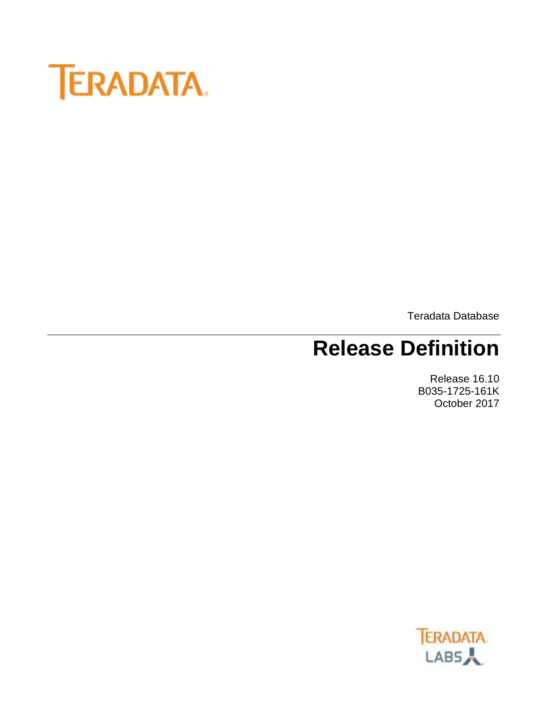

Teradata Database

# **Release Definition**

Release 16.10 B035-1725-161K October 2017

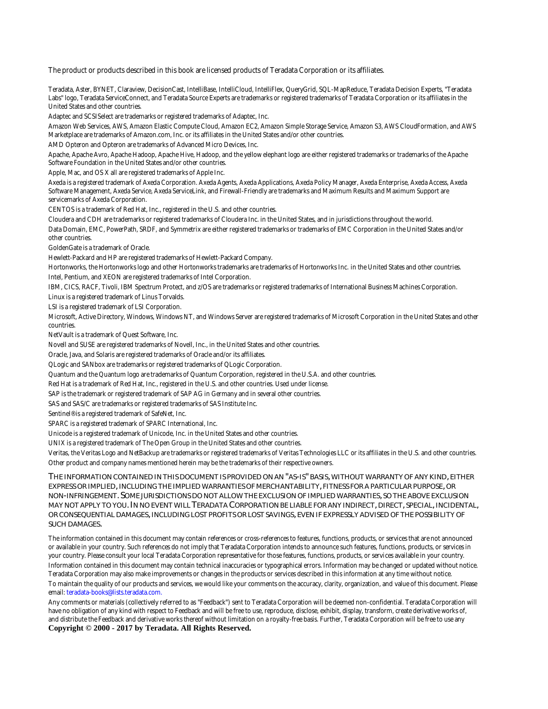The product or products described in this book are licensed products of Teradata Corporation or its affiliates.

Teradata, Aster, BYNET, Claraview, DecisionCast, IntelliBase, IntelliCloud, IntelliFlex, QueryGrid, SQL-MapReduce, Teradata Decision Experts, "Teradata Labs" logo, Teradata ServiceConnect, and Teradata Source Experts are trademarks or registered trademarks of Teradata Corporation or its affiliates in the United States and other countries.

Adaptec and SCSISelect are trademarks or registered trademarks of Adaptec, Inc.

Amazon Web Services, AWS, Amazon Elastic Compute Cloud, Amazon EC2, Amazon Simple Storage Service, Amazon S3, AWS CloudFormation, and AWS Marketplace are trademarks of Amazon.com, Inc. or its affiliates in the United States and/or other countries.

AMD Opteron and Opteron are trademarks of Advanced Micro Devices, Inc.

Apache, Apache Avro, Apache Hadoop, Apache Hive, Hadoop, and the yellow elephant logo are either registered trademarks or trademarks of the Apache Software Foundation in the United States and/or other countries.

Apple, Mac, and OS X all are registered trademarks of Apple Inc.

Axeda is a registered trademark of Axeda Corporation. Axeda Agents, Axeda Applications, Axeda Policy Manager, Axeda Enterprise, Axeda Access, Axeda Software Management, Axeda Service, Axeda ServiceLink, and Firewall-Friendly are trademarks and Maximum Results and Maximum Support are servicemarks of Axeda Corporation.

CENTOS is a trademark of Red Hat, Inc., registered in the U.S. and other countries.

Cloudera and CDH are trademarks or registered trademarks of Cloudera Inc. in the United States, and in jurisdictions throughout the world. Data Domain, EMC, PowerPath, SRDF, and Symmetrix are either registered trademarks or trademarks of EMC Corporation in the United States and/or other countries.

GoldenGate is a trademark of Oracle.

Hewlett-Packard and HP are registered trademarks of Hewlett-Packard Company.

Hortonworks, the Hortonworks logo and other Hortonworks trademarks are trademarks of Hortonworks Inc. in the United States and other countries. Intel, Pentium, and XEON are registered trademarks of Intel Corporation.

IBM, CICS, RACF, Tivoli, IBM Spectrum Protect, and z/OS are trademarks or registered trademarks of International Business Machines Corporation. Linux is a registered trademark of Linus Torvalds.

LSI is a registered trademark of LSI Corporation.

Microsoft, Active Directory, Windows, Windows NT, and Windows Server are registered trademarks of Microsoft Corporation in the United States and other countries.

NetVault is a trademark of Quest Software, Inc.

Novell and SUSE are registered trademarks of Novell, Inc., in the United States and other countries.

Oracle, Java, and Solaris are registered trademarks of Oracle and/or its affiliates.

QLogic and SANbox are trademarks or registered trademarks of QLogic Corporation.

Quantum and the Quantum logo are trademarks of Quantum Corporation, registered in the U.S.A. and other countries.

Red Hat is a trademark of Red Hat, Inc., registered in the U.S. and other countries. Used under license.

SAP is the trademark or registered trademark of SAP AG in Germany and in several other countries.

SAS and SAS/C are trademarks or registered trademarks of SAS Institute Inc.

Sentinel® is a registered trademark of SafeNet, Inc.

SPARC is a registered trademark of SPARC International, Inc.

Unicode is a registered trademark of Unicode, Inc. in the United States and other countries.

UNIX is a registered trademark of The Open Group in the United States and other countries.

Veritas, the Veritas Logo and NetBackup are trademarks or registered trademarks of Veritas Technologies LLC or its affiliates in the U.S. and other countries. Other product and company names mentioned herein may be the trademarks of their respective owners.

**THE INFORMATION CONTAINED IN THIS DOCUMENT IS PROVIDED ON AN "AS-IS" BASIS, WITHOUT WARRANTY OF ANY KIND, EITHER EXPRESS OR IMPLIED, INCLUDING THE IMPLIED WARRANTIES OF MERCHANTABILITY, FITNESS FOR A PARTICULAR PURPOSE, OR NON-INFRINGEMENT. SOME JURISDICTIONS DO NOT ALLOW THE EXCLUSION OF IMPLIED WARRANTIES, SO THE ABOVE EXCLUSION MAY NOT APPLY TO YOU.IN NO EVENT WILL TERADATA CORPORATION BE LIABLE FOR ANY INDIRECT, DIRECT, SPECIAL, INCIDENTAL, OR CONSEQUENTIAL DAMAGES, INCLUDING LOST PROFITS OR LOST SAVINGS, EVEN IF EXPRESSLY ADVISED OF THE POSSIBILITY OF SUCH DAMAGES.**

The information contained in this document may contain references or cross-references to features, functions, products, or services that are not announced or available in your country. Such references do not imply that Teradata Corporation intends to announce such features, functions, products, or services in your country. Please consult your local Teradata Corporation representative for those features, functions, products, or services available in your country. Information contained in this document may contain technical inaccuracies or typographical errors. Information may be changed or updated without notice. Teradata Corporation may also make improvements or changes in the products or services described in this information at any time without notice. To maintain the quality of our products and services, we would like your comments on the accuracy, clarity, organization, and value of this document. Please

email: teradata-books@lists.teradata.com.

Any comments or materials (collectively referred to as "Feedback") sent to Teradata Corporation will be deemed non-confidential. Teradata Corporation will have no obligation of any kind with respect to Feedback and will be free to use, reproduce, disclose, exhibit, display, transform, create derivative works of, and distribute the Feedback and derivative works thereof without limitation on a royalty-free basis. Further, Teradata Corporation will be free to use any

**Copyright © 2000 - 2017 by Teradata. All Rights Reserved.**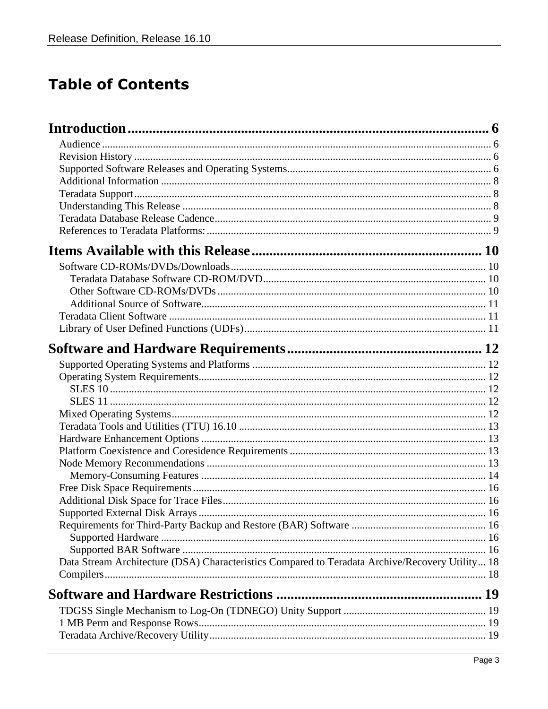### **Table of Contents**

| Data Stream Architecture (DSA) Characteristics Compared to Teradata Archive/Recovery Utility 18 |  |
|-------------------------------------------------------------------------------------------------|--|
|                                                                                                 |  |
|                                                                                                 |  |
|                                                                                                 |  |
|                                                                                                 |  |
|                                                                                                 |  |
|                                                                                                 |  |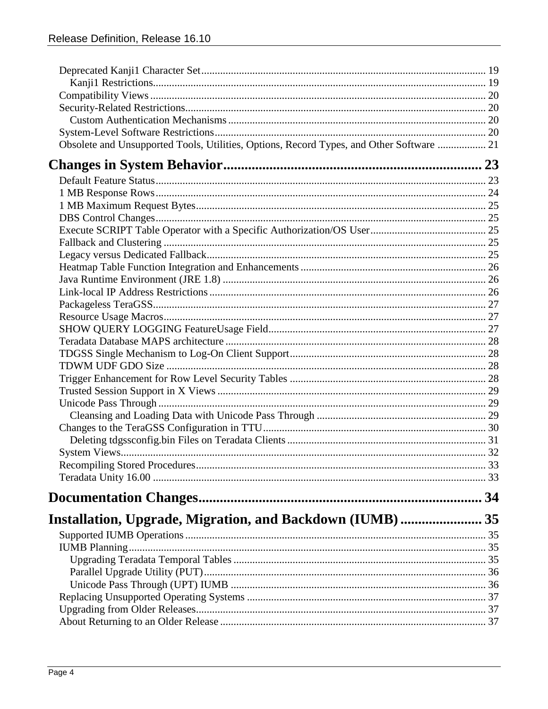| Obsolete and Unsupported Tools, Utilities, Options, Record Types, and Other Software  21 |  |
|------------------------------------------------------------------------------------------|--|
|                                                                                          |  |
|                                                                                          |  |
|                                                                                          |  |
|                                                                                          |  |
|                                                                                          |  |
|                                                                                          |  |
|                                                                                          |  |
|                                                                                          |  |
|                                                                                          |  |
|                                                                                          |  |
|                                                                                          |  |
|                                                                                          |  |
|                                                                                          |  |
|                                                                                          |  |
|                                                                                          |  |
|                                                                                          |  |
|                                                                                          |  |
|                                                                                          |  |
|                                                                                          |  |
|                                                                                          |  |
|                                                                                          |  |
|                                                                                          |  |
|                                                                                          |  |
|                                                                                          |  |
|                                                                                          |  |
|                                                                                          |  |
|                                                                                          |  |
| Installation, Upgrade, Migration, and Backdown (IUMB)  35                                |  |
|                                                                                          |  |
|                                                                                          |  |
|                                                                                          |  |
|                                                                                          |  |
|                                                                                          |  |
|                                                                                          |  |
|                                                                                          |  |
|                                                                                          |  |
|                                                                                          |  |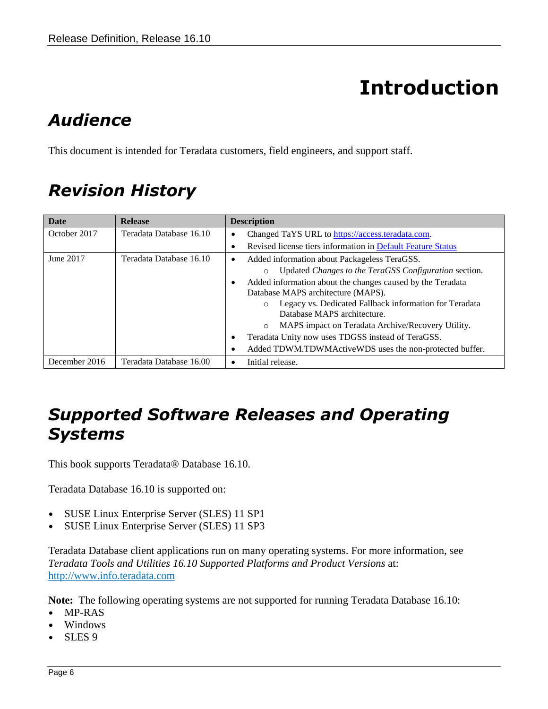# **Introduction**

# <span id="page-5-1"></span><span id="page-5-0"></span>*Audience*

This document is intended for Teradata customers, field engineers, and support staff.

# <span id="page-5-2"></span>*Revision History*

| <b>Date</b>   | <b>Release</b>          | <b>Description</b>                                           |
|---------------|-------------------------|--------------------------------------------------------------|
| October 2017  | Teradata Database 16.10 | Changed TaYS URL to https://access.teradata.com.<br>٠        |
|               |                         | Revised license tiers information in Default Feature Status  |
| June 2017     | Teradata Database 16.10 | Added information about Packageless TeraGSS.<br>$\bullet$    |
|               |                         | Updated Changes to the TeraGSS Configuration section.        |
|               |                         | Added information about the changes caused by the Teradata   |
|               |                         | Database MAPS architecture (MAPS).                           |
|               |                         | Legacy vs. Dedicated Fallback information for Teradata       |
|               |                         | Database MAPS architecture.                                  |
|               |                         | MAPS impact on Teradata Archive/Recovery Utility.            |
|               |                         | Teradata Unity now uses TDGSS instead of TeraGSS.<br>٠       |
|               |                         | Added TDWM.TDWMActiveWDS uses the non-protected buffer.<br>٠ |
| December 2016 | Teradata Database 16.00 | Initial release.                                             |

### <span id="page-5-3"></span>*Supported Software Releases and Operating Systems*

This book supports Teradata® Database 16.10.

Teradata Database 16.10 is supported on:

- SUSE Linux Enterprise Server (SLES) 11 SP1
- SUSE Linux Enterprise Server (SLES) 11 SP3

Teradata Database client applications run on many operating systems. For more information, see *Teradata Tools and Utilities 16.10 Supported Platforms and Product Versions* at: [http://www.info.teradata.com](http://www.info.teradata.com/)

**Note:** The following operating systems are not supported for running Teradata Database 16.10:

- MP-RAS
- Windows
- SLES 9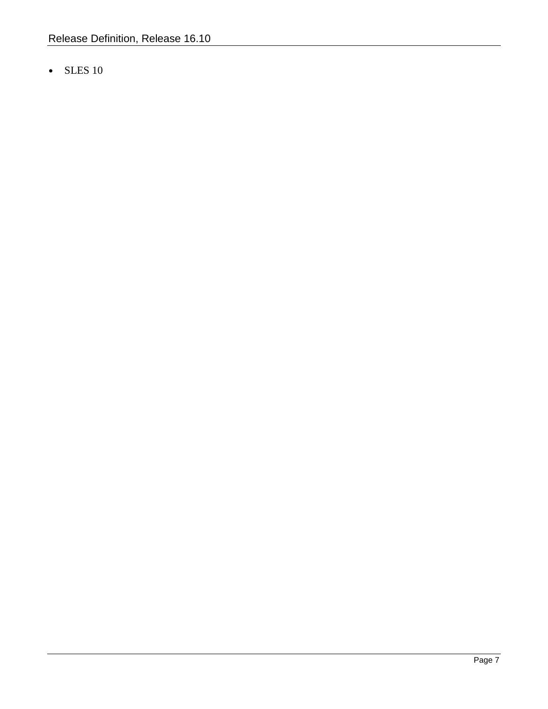• SLES 10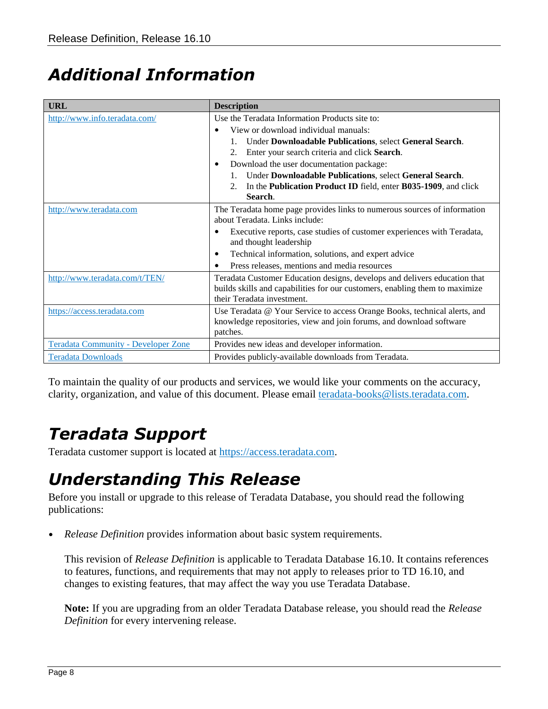## <span id="page-7-0"></span>*Additional Information*

| <b>URL</b>                                 | <b>Description</b>                                                                                                                                                                     |
|--------------------------------------------|----------------------------------------------------------------------------------------------------------------------------------------------------------------------------------------|
| http://www.info.teradata.com/              | Use the Teradata Information Products site to:                                                                                                                                         |
|                                            | View or download individual manuals:<br>$\bullet$                                                                                                                                      |
|                                            | Under Downloadable Publications, select General Search.                                                                                                                                |
|                                            | Enter your search criteria and click Search.                                                                                                                                           |
|                                            | Download the user documentation package:<br>$\bullet$                                                                                                                                  |
|                                            | Under Downloadable Publications, select General Search.                                                                                                                                |
|                                            | In the Publication Product ID field, enter B035-1909, and click<br>2.                                                                                                                  |
|                                            | Search.                                                                                                                                                                                |
| http://www.teradata.com                    | The Teradata home page provides links to numerous sources of information<br>about Teradata. Links include:                                                                             |
|                                            | Executive reports, case studies of customer experiences with Teradata,<br>$\bullet$<br>and thought leadership                                                                          |
|                                            | Technical information, solutions, and expert advice<br>٠                                                                                                                               |
|                                            | Press releases, mentions and media resources<br>$\bullet$                                                                                                                              |
| http://www.teradata.com/t/TEN/             | Teradata Customer Education designs, develops and delivers education that<br>builds skills and capabilities for our customers, enabling them to maximize<br>their Teradata investment. |
| https://access.teradata.com                | Use Teradata @ Your Service to access Orange Books, technical alerts, and<br>knowledge repositories, view and join forums, and download software<br>patches.                           |
| <b>Teradata Community - Developer Zone</b> | Provides new ideas and developer information.                                                                                                                                          |
| <b>Teradata Downloads</b>                  | Provides publicly-available downloads from Teradata.                                                                                                                                   |

To maintain the quality of our products and services, we would like your comments on the accuracy, clarity, organization, and value of this document. Please email [teradata-books@lists.teradata.com.](mailto:teradata-books@lists.teradata.com)

## <span id="page-7-1"></span>*Teradata Support*

Teradata customer support is located at [https://access.teradata.com.](https://access.teradata.com/)

### <span id="page-7-2"></span>*Understanding This Release*

Before you install or upgrade to this release of Teradata Database, you should read the following publications:

• *Release Definition* provides information about basic system requirements.

This revision of *Release Definition* is applicable to Teradata Database 16.10. It contains references to features, functions, and requirements that may not apply to releases prior to TD 16.10, and changes to existing features, that may affect the way you use Teradata Database.

**Note:** If you are upgrading from an older Teradata Database release, you should read the *Release Definition* for every intervening release.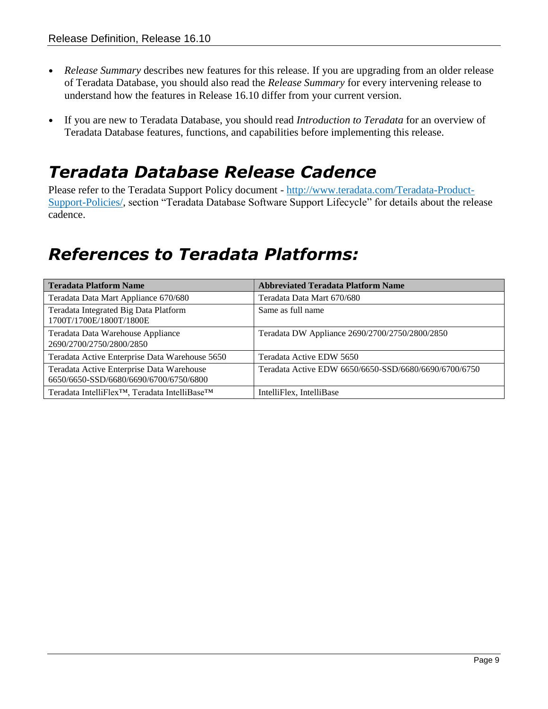- *Release Summary* describes new features for this release. If you are upgrading from an older release of Teradata Database, you should also read the *Release Summary* for every intervening release to understand how the features in Release 16.10 differ from your current version.
- If you are new to Teradata Database, you should read *Introduction to Teradata* for an overview of Teradata Database features, functions, and capabilities before implementing this release.

#### <span id="page-8-0"></span>*Teradata Database Release Cadence*

Please refer to the Teradata Support Policy document - [http://www.teradata.com/Teradata-Product-](http://www.teradata.com/Teradata-Product-Support-Policies/)[Support-Policies/,](http://www.teradata.com/Teradata-Product-Support-Policies/) section "Teradata Database Software Support Lifecycle" for details about the release cadence.

#### <span id="page-8-1"></span>*References to Teradata Platforms:*

| <b>Teradata Platform Name</b>                                                       | <b>Abbreviated Teradata Platform Name</b>             |
|-------------------------------------------------------------------------------------|-------------------------------------------------------|
| Teradata Data Mart Appliance 670/680                                                | Teradata Data Mart 670/680                            |
| Teradata Integrated Big Data Platform<br>1700T/1700E/1800T/1800E                    | Same as full name                                     |
| Teradata Data Warehouse Appliance<br>2690/2700/2750/2800/2850                       | Teradata DW Appliance 2690/2700/2750/2800/2850        |
| Teradata Active Enterprise Data Warehouse 5650                                      | Teradata Active EDW 5650                              |
| Teradata Active Enterprise Data Warehouse<br>6650/6650-SSD/6680/6690/6700/6750/6800 | Teradata Active EDW 6650/6650-SSD/6680/6690/6700/6750 |
| Teradata IntelliFlex <sup>™</sup> , Teradata IntelliBase™                           | IntelliFlex, IntelliBase                              |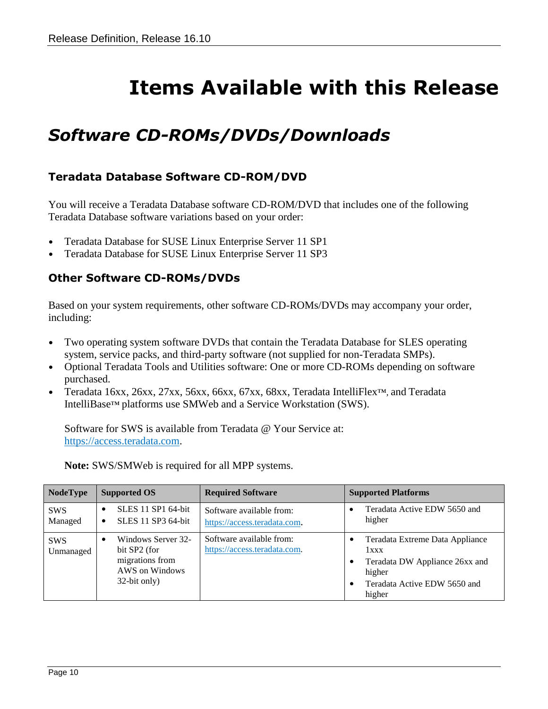# **Items Available with this Release**

### <span id="page-9-1"></span><span id="page-9-0"></span>*Software CD-ROMs/DVDs/Downloads*

#### <span id="page-9-2"></span>**Teradata Database Software CD-ROM/DVD**

You will receive a Teradata Database software CD-ROM/DVD that includes one of the following Teradata Database software variations based on your order:

- Teradata Database for SUSE Linux Enterprise Server 11 SP1
- <span id="page-9-3"></span>• Teradata Database for SUSE Linux Enterprise Server 11 SP3

#### **Other Software CD-ROMs/DVDs**

Based on your system requirements, other software CD-ROMs/DVDs may accompany your order, including:

- Two operating system software DVDs that contain the Teradata Database for SLES operating system, service packs, and third-party software (not supplied for non-Teradata SMPs).
- Optional Teradata Tools and Utilities software: One or more CD-ROMs depending on software purchased.
- Teradata 16xx, 26xx, 27xx, 56xx, 66xx, 67xx, 68xx, Teradata IntelliFlex™, and Teradata IntelliBase™ platforms use SMWeb and a Service Workstation (SWS).

Software for SWS is available from Teradata @ Your Service at: [https://access.teradata.com.](https://access.teradata.com/)

| <b>NodeType</b>         | <b>Supported OS</b>                                                                     | <b>Required Software</b>                                 | <b>Supported Platforms</b>                                                                                                    |
|-------------------------|-----------------------------------------------------------------------------------------|----------------------------------------------------------|-------------------------------------------------------------------------------------------------------------------------------|
| <b>SWS</b><br>Managed   | <b>SLES</b> 11 <b>SP1</b> 64-bit<br>SLES 11 SP3 64-bit<br>$\bullet$                     | Software available from:<br>https://access.teradata.com. | Teradata Active EDW 5650 and<br>higher                                                                                        |
| <b>SWS</b><br>Unmanaged | Windows Server 32-<br>bit SP2 (for<br>migrations from<br>AWS on Windows<br>32-bit only) | Software available from:<br>https://access.teradata.com. | Teradata Extreme Data Appliance<br>1xxx<br>Teradata DW Appliance 26xx and<br>higher<br>Teradata Active EDW 5650 and<br>higher |

**Note:** SWS/SMWeb is required for all MPP systems.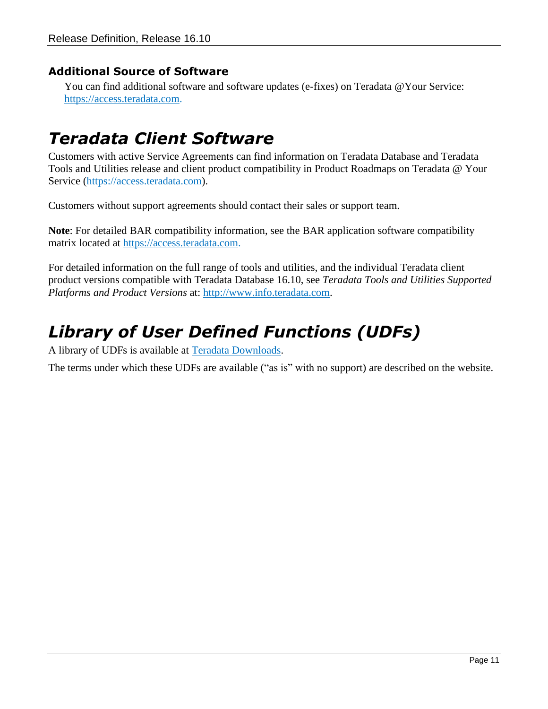#### <span id="page-10-0"></span>**Additional Source of Software**

You can find additional software and software updates (e-fixes) on Teradata @Your Service: [https://access.teradata.com.](https://access.teradata.com/)

#### <span id="page-10-1"></span>*Teradata Client Software*

Customers with active Service Agreements can find information on Teradata Database and Teradata Tools and Utilities release and client product compatibility in Product Roadmaps on Teradata @ Your Service [\(https://access.teradata.com\)](https://access.teradata.com/).

Customers without support agreements should contact their sales or support team.

**Note**: For detailed BAR compatibility information, see the BAR application software compatibility matrix located at [https://access.teradata.com.](https://access.teradata.com/)

For detailed information on the full range of tools and utilities, and the individual Teradata client product versions compatible with Teradata Database 16.10, see *Teradata Tools and Utilities Supported Platforms and Product Versions* at: [http://www.info.teradata.com.](http://www.info.teradata.com/)

### <span id="page-10-2"></span>*Library of User Defined Functions (UDFs)*

A library of UDFs is available at [Teradata Downloads.](http://developer.teradata.com/)

The terms under which these UDFs are available ("as is" with no support) are described on the website.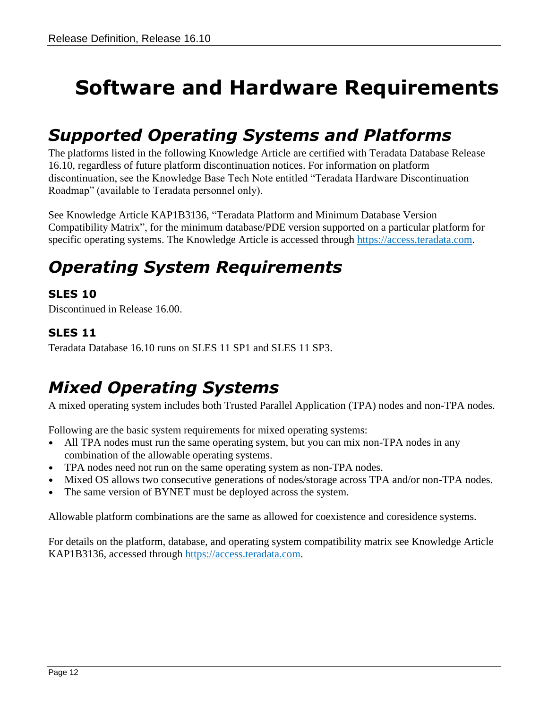# <span id="page-11-0"></span>**Software and Hardware Requirements**

### <span id="page-11-1"></span>*Supported Operating Systems and Platforms*

The platforms listed in the following Knowledge Article are certified with Teradata Database Release 16.10, regardless of future platform discontinuation notices. For information on platform discontinuation, see the Knowledge Base Tech Note entitled "Teradata Hardware Discontinuation Roadmap" (available to Teradata personnel only).

See Knowledge Article KAP1B3136, "Teradata Platform and Minimum Database Version Compatibility Matrix", for the minimum database/PDE version supported on a particular platform for specific operating systems. The Knowledge Article is accessed through [https://access.teradata.com.](https://access.teradata.com/)

## <span id="page-11-2"></span>*Operating System Requirements*

#### <span id="page-11-3"></span>**SLES 10**

Discontinued in Release 16.00.

#### <span id="page-11-4"></span>**SLES 11**

Teradata Database 16.10 runs on SLES 11 SP1 and SLES 11 SP3.

## <span id="page-11-5"></span>*Mixed Operating Systems*

A mixed operating system includes both Trusted Parallel Application (TPA) nodes and non-TPA nodes.

Following are the basic system requirements for mixed operating systems:

- All TPA nodes must run the same operating system, but you can mix non-TPA nodes in any combination of the allowable operating systems.
- TPA nodes need not run on the same operating system as non-TPA nodes.
- Mixed OS allows two consecutive generations of nodes/storage across TPA and/or non-TPA nodes.
- The same version of BYNET must be deployed across the system.

Allowable platform combinations are the same as allowed for coexistence and coresidence systems.

For details on the platform, database, and operating system compatibility matrix see Knowledge Article KAP1B3136, accessed through [https://access.teradata.com.](https://access.teradata.com/)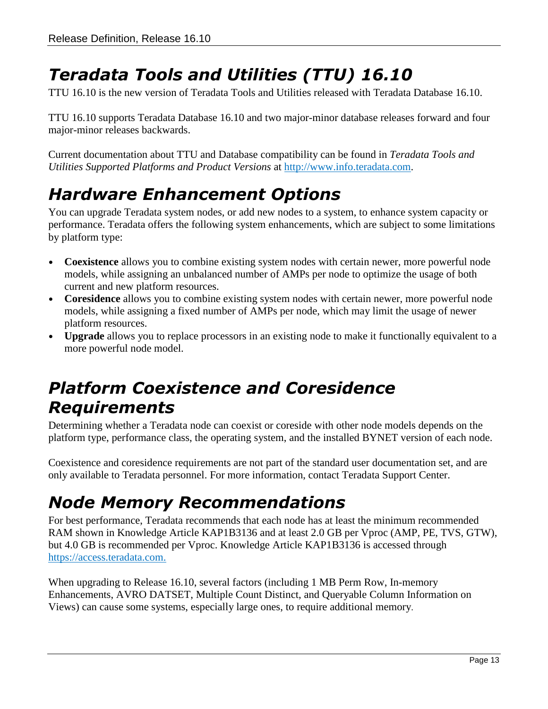# <span id="page-12-0"></span>*Teradata Tools and Utilities (TTU) 16.10*

TTU 16.10 is the new version of Teradata Tools and Utilities released with Teradata Database 16.10.

TTU 16.10 supports Teradata Database 16.10 and two major-minor database releases forward and four major-minor releases backwards.

Current documentation about TTU and Database compatibility can be found in *Teradata Tools and Utilities Supported Platforms and Product Versions* at [http://www.info.teradata.com.](http://www.info.teradata.com/)

# <span id="page-12-1"></span>*Hardware Enhancement Options*

You can upgrade Teradata system nodes, or add new nodes to a system, to enhance system capacity or performance. Teradata offers the following system enhancements, which are subject to some limitations by platform type:

- **Coexistence** allows you to combine existing system nodes with certain newer, more powerful node models, while assigning an unbalanced number of AMPs per node to optimize the usage of both current and new platform resources.
- **Coresidence** allows you to combine existing system nodes with certain newer, more powerful node models, while assigning a fixed number of AMPs per node, which may limit the usage of newer platform resources.
- **Upgrade** allows you to replace processors in an existing node to make it functionally equivalent to a more powerful node model.

### <span id="page-12-2"></span>*Platform Coexistence and Coresidence Requirements*

Determining whether a Teradata node can coexist or coreside with other node models depends on the platform type, performance class, the operating system, and the installed BYNET version of each node.

Coexistence and coresidence requirements are not part of the standard user documentation set, and are only available to Teradata personnel. For more information, contact Teradata Support Center.

# <span id="page-12-3"></span>*Node Memory Recommendations*

For best performance, Teradata recommends that each node has at least the minimum recommended RAM shown in Knowledge Article KAP1B3136 and at least 2.0 GB per Vproc (AMP, PE, TVS, GTW), but 4.0 GB is recommended per Vproc. Knowledge Article KAP1B3136 is accessed through [https://access.teradata.com.](https://access.teradata.com/)

When upgrading to Release 16.10, several factors (including 1 MB Perm Row, In-memory Enhancements, AVRO DATSET, Multiple Count Distinct, and Queryable Column Information on Views) can cause some systems, especially large ones, to require additional memory.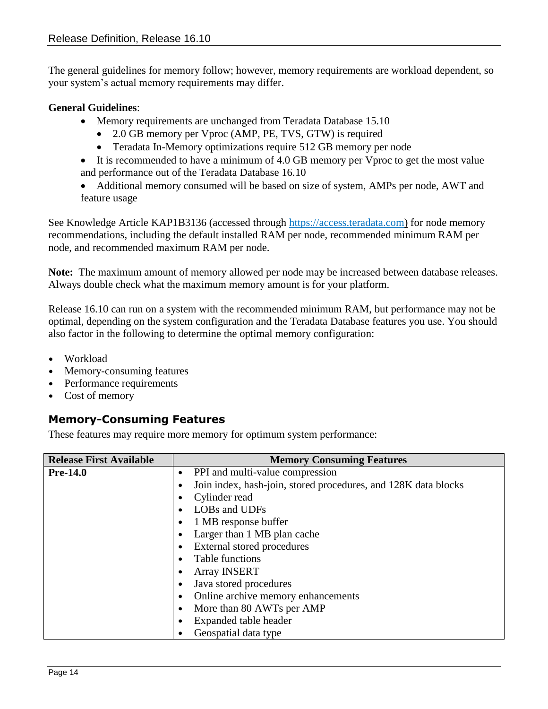The general guidelines for memory follow; however, memory requirements are workload dependent, so your system's actual memory requirements may differ.

#### **General Guidelines**:

- Memory requirements are unchanged from Teradata Database 15.10
	- 2.0 GB memory per Vproc (AMP, PE, TVS, GTW) is required
	- Teradata In-Memory optimizations require 512 GB memory per node
- It is recommended to have a minimum of 4.0 GB memory per Vproc to get the most value and performance out of the Teradata Database 16.10
- Additional memory consumed will be based on size of system, AMPs per node, AWT and feature usage

See Knowledge Article KAP1B3136 (accessed through [https://access.teradata.com\)](https://access.teradata.com/) for node memory recommendations, including the default installed RAM per node, recommended minimum RAM per node, and recommended maximum RAM per node.

**Note:** The maximum amount of memory allowed per node may be increased between database releases. Always double check what the maximum memory amount is for your platform.

Release 16.10 can run on a system with the recommended minimum RAM, but performance may not be optimal, depending on the system configuration and the Teradata Database features you use. You should also factor in the following to determine the optimal memory configuration:

- Workload
- Memory-consuming features
- Performance requirements
- Cost of memory

#### <span id="page-13-0"></span>**Memory-Consuming Features**

These features may require more memory for optimum system performance:

| <b>Release First Available</b> | <b>Memory Consuming Features</b>                               |
|--------------------------------|----------------------------------------------------------------|
| <b>Pre-14.0</b>                | PPI and multi-value compression                                |
|                                | Join index, hash-join, stored procedures, and 128K data blocks |
|                                | Cylinder read                                                  |
|                                | LOBs and UDFs                                                  |
|                                | 1 MB response buffer                                           |
|                                | Larger than 1 MB plan cache                                    |
|                                | External stored procedures                                     |
|                                | Table functions                                                |
|                                | <b>Array INSERT</b>                                            |
|                                | Java stored procedures                                         |
|                                | Online archive memory enhancements                             |
|                                | More than 80 AWTs per AMP                                      |
|                                | Expanded table header                                          |
|                                | Geospatial data type                                           |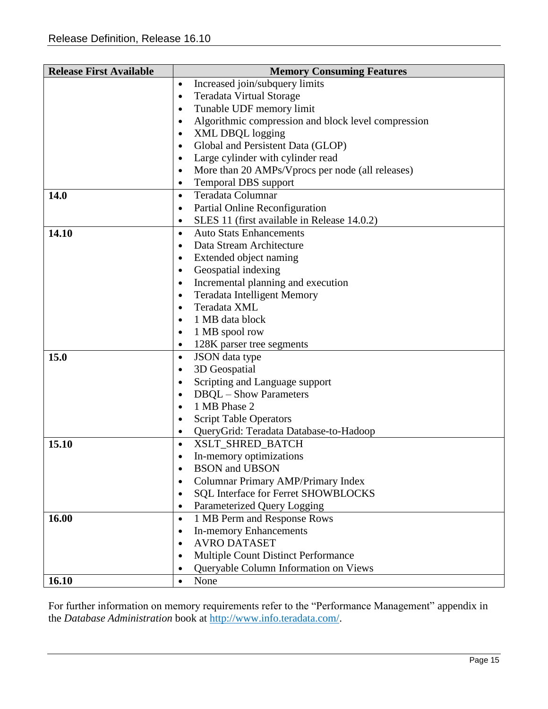| <b>Release First Available</b> | <b>Memory Consuming Features</b>                                 |
|--------------------------------|------------------------------------------------------------------|
|                                | Increased join/subquery limits<br>$\bullet$                      |
|                                | <b>Teradata Virtual Storage</b><br>$\bullet$                     |
|                                | Tunable UDF memory limit<br>$\bullet$                            |
|                                | Algorithmic compression and block level compression<br>$\bullet$ |
|                                | <b>XML DBQL logging</b><br>$\bullet$                             |
|                                | Global and Persistent Data (GLOP)<br>$\bullet$                   |
|                                | Large cylinder with cylinder read<br>$\bullet$                   |
|                                | More than 20 AMPs/Vprocs per node (all releases)<br>$\bullet$    |
|                                | <b>Temporal DBS</b> support<br>$\bullet$                         |
| 14.0                           | Teradata Columnar<br>$\bullet$                                   |
|                                | Partial Online Reconfiguration<br>$\bullet$                      |
|                                | SLES 11 (first available in Release 14.0.2)<br>$\bullet$         |
| 14.10                          | <b>Auto Stats Enhancements</b><br>$\bullet$                      |
|                                | Data Stream Architecture<br>$\bullet$                            |
|                                | Extended object naming<br>$\bullet$                              |
|                                | Geospatial indexing<br>$\bullet$                                 |
|                                | Incremental planning and execution<br>$\bullet$                  |
|                                | <b>Teradata Intelligent Memory</b><br>$\bullet$                  |
|                                | Teradata XML<br>$\bullet$                                        |
|                                | 1 MB data block<br>$\bullet$                                     |
|                                | 1 MB spool row<br>$\bullet$                                      |
|                                | 128K parser tree segments<br>$\bullet$                           |
| 15.0                           | <b>JSON</b> data type<br>$\bullet$                               |
|                                | 3D Geospatial<br>$\bullet$                                       |
|                                | Scripting and Language support<br>$\bullet$                      |
|                                | <b>DBQL</b> - Show Parameters<br>$\bullet$                       |
|                                | 1 MB Phase 2<br>$\bullet$                                        |
|                                | <b>Script Table Operators</b><br>$\bullet$                       |
|                                | QueryGrid: Teradata Database-to-Hadoop<br>$\bullet$              |
| 15.10                          | XSLT SHRED BATCH<br>$\bullet$                                    |
|                                | In-memory optimizations<br>$\bullet$                             |
|                                | <b>BSON</b> and <b>UBSON</b><br>$\bullet$                        |
|                                | Columnar Primary AMP/Primary Index                               |
|                                | <b>SQL Interface for Ferret SHOWBLOCKS</b><br>$\bullet$          |
|                                | Parameterized Query Logging<br>$\bullet$                         |
| 16.00                          | 1 MB Perm and Response Rows<br>$\bullet$                         |
|                                | <b>In-memory Enhancements</b><br>$\bullet$                       |
|                                | <b>AVRO DATASET</b><br>$\bullet$                                 |
|                                | <b>Multiple Count Distinct Performance</b><br>$\bullet$          |
|                                | Queryable Column Information on Views<br>$\bullet$               |
| 16.10                          | None<br>$\bullet$                                                |

For further information on memory requirements refer to the "Performance Management" appendix in the *Database Administration* book at [http://www.info.teradata.com/.](http://www.info.teradata.com/)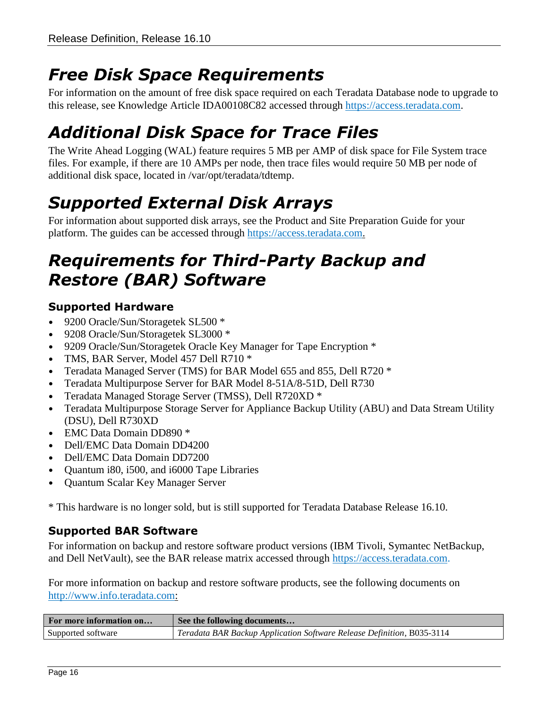## <span id="page-15-0"></span>*Free Disk Space Requirements*

For information on the amount of free disk space required on each Teradata Database node to upgrade to this release, see Knowledge Article IDA00108C82 accessed through [https://access.teradata.com.](https://access.teradata.com/)

# <span id="page-15-1"></span>*Additional Disk Space for Trace Files*

The Write Ahead Logging (WAL) feature requires 5 MB per AMP of disk space for File System trace files. For example, if there are 10 AMPs per node, then trace files would require 50 MB per node of additional disk space, located in /var/opt/teradata/tdtemp.

# <span id="page-15-2"></span>*Supported External Disk Arrays*

For information about supported disk arrays, see the Product and Site Preparation Guide for your platform. The guides can be accessed through [https://access.teradata.com.](https://access.teradata.com/)

## <span id="page-15-3"></span>*Requirements for Third-Party Backup and Restore (BAR) Software*

#### <span id="page-15-4"></span>**Supported Hardware**

- 9200 Oracle/Sun/Storagetek SL500  $*$
- 9208 Oracle/Sun/Storagetek SL3000 \*
- 9209 Oracle/Sun/Storagetek Oracle Key Manager for Tape Encryption  $*$
- TMS, BAR Server, Model 457 Dell R710 \*
- Teradata Managed Server (TMS) for BAR Model 655 and 855, Dell R720 \*
- Teradata Multipurpose Server for BAR Model 8-51A/8-51D, Dell R730
- Teradata Managed Storage Server (TMSS), Dell R720XD \*
- Teradata Multipurpose Storage Server for Appliance Backup Utility (ABU) and Data Stream Utility (DSU), Dell R730XD
- EMC Data Domain DD890 \*
- Dell/EMC Data Domain DD4200
- Dell/EMC Data Domain DD7200
- Quantum i80, i500, and i6000 Tape Libraries
- Quantum Scalar Key Manager Server

\* This hardware is no longer sold, but is still supported for Teradata Database Release 16.10.

#### <span id="page-15-5"></span>**Supported BAR Software**

<span id="page-15-6"></span>For information on backup and restore software product versions (IBM Tivoli, Symantec NetBackup, and Dell NetVault), see the BAR release matrix accessed through [https://access.teradata.com.](https://access.teradata.com/)

For more information on backup and restore software products, see the following documents on [http://www.info.teradata.com:](http://www.info.teradata.com/)

| For more information on | See the following documents                                            |
|-------------------------|------------------------------------------------------------------------|
| Supported software      | Teradata BAR Backup Application Software Release Definition, B035-3114 |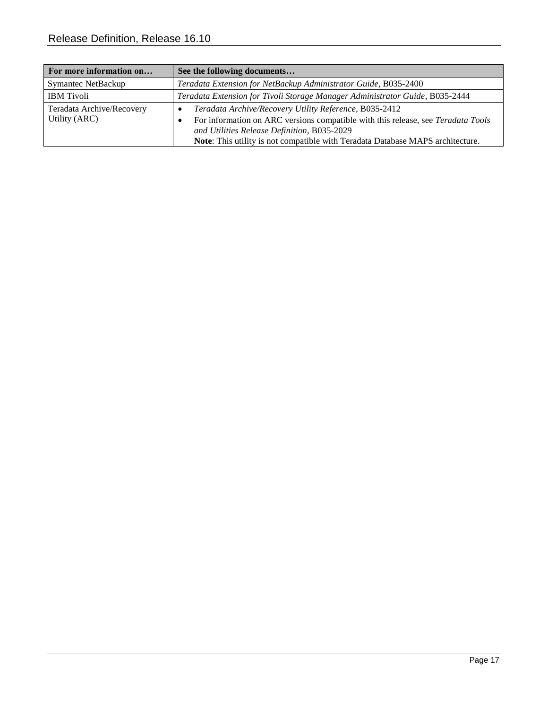| For more information on                    | See the following documents                                                                                                                                                                                                                                                                   |
|--------------------------------------------|-----------------------------------------------------------------------------------------------------------------------------------------------------------------------------------------------------------------------------------------------------------------------------------------------|
| <b>Symantec NetBackup</b>                  | Teradata Extension for NetBackup Administrator Guide, B035-2400                                                                                                                                                                                                                               |
| <b>IBM</b> Tivoli                          | Teradata Extension for Tivoli Storage Manager Administrator Guide, B035-2444                                                                                                                                                                                                                  |
| Teradata Archive/Recovery<br>Utility (ARC) | Teradata Archive/Recovery Utility Reference, B035-2412<br>$\bullet$<br>For information on ARC versions compatible with this release, see Teradata Tools<br>٠<br>and Utilities Release Definition, B035-2029<br>Note: This utility is not compatible with Teradata Database MAPS architecture. |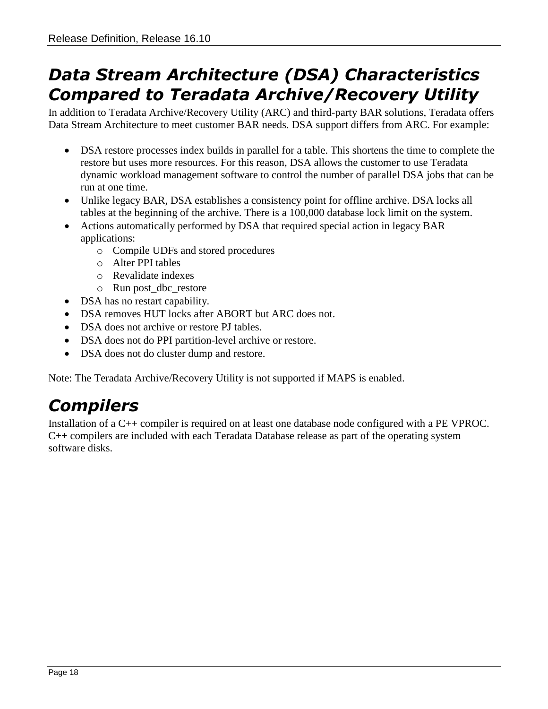### <span id="page-17-0"></span>*Data Stream Architecture (DSA) Characteristics Compared to Teradata Archive/Recovery Utility*

In addition to Teradata Archive/Recovery Utility (ARC) and third-party BAR solutions, Teradata offers Data Stream Architecture to meet customer BAR needs. DSA support differs from ARC. For example:

- DSA restore processes index builds in parallel for a table. This shortens the time to complete the restore but uses more resources. For this reason, DSA allows the customer to use Teradata dynamic workload management software to control the number of parallel DSA jobs that can be run at one time.
- Unlike legacy BAR, DSA establishes a consistency point for offline archive. DSA locks all tables at the beginning of the archive. There is a 100,000 database lock limit on the system.
- Actions automatically performed by DSA that required special action in legacy BAR applications:
	- o Compile UDFs and stored procedures
	- o Alter PPI tables
	- o Revalidate indexes
	- o Run post\_dbc\_restore
- DSA has no restart capability.
- DSA removes HUT locks after ABORT but ARC does not.
- DSA does not archive or restore PJ tables.
- DSA does not do PPI partition-level archive or restore.
- DSA does not do cluster dump and restore.

Note: The Teradata Archive/Recovery Utility is not supported if MAPS is enabled.

## <span id="page-17-1"></span>*Compilers*

Installation of a C++ compiler is required on at least one database node configured with a PE VPROC. C++ compilers are included with each Teradata Database release as part of the operating system software disks.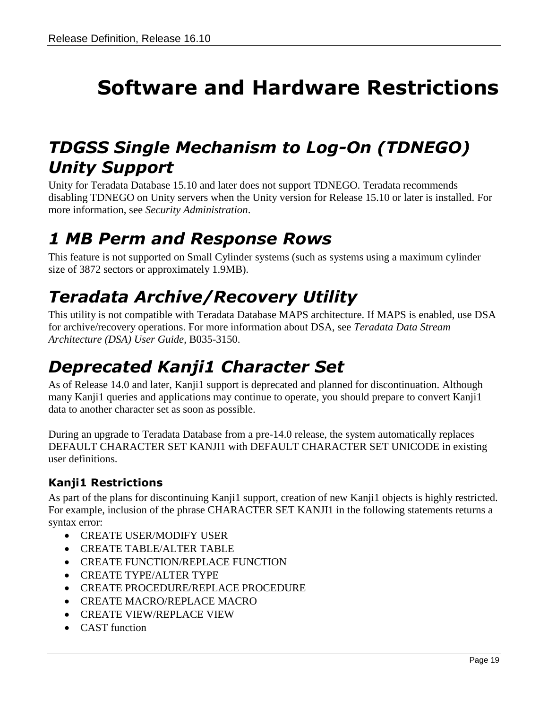# <span id="page-18-0"></span>**Software and Hardware Restrictions**

#### <span id="page-18-1"></span>*TDGSS Single Mechanism to Log-On (TDNEGO) Unity Support*

Unity for Teradata Database 15.10 and later does not support TDNEGO. Teradata recommends disabling TDNEGO on Unity servers when the Unity version for Release 15.10 or later is installed. For more information, see *Security Administration*.

#### <span id="page-18-2"></span>*1 MB Perm and Response Rows*

This feature is not supported on Small Cylinder systems (such as systems using a maximum cylinder size of 3872 sectors or approximately 1.9MB).

# <span id="page-18-3"></span>*Teradata Archive/Recovery Utility*

This utility is not compatible with Teradata Database MAPS architecture. If MAPS is enabled, use DSA for archive/recovery operations. For more information about DSA, see *Teradata Data Stream Architecture (DSA) User Guide*, B035-3150.

## <span id="page-18-4"></span>*Deprecated Kanji1 Character Set*

As of Release 14.0 and later, Kanji1 support is deprecated and planned for discontinuation. Although many Kanji1 queries and applications may continue to operate, you should prepare to convert Kanji1 data to another character set as soon as possible.

During an upgrade to Teradata Database from a pre-14.0 release, the system automatically replaces DEFAULT CHARACTER SET KANJI1 with DEFAULT CHARACTER SET UNICODE in existing user definitions.

#### <span id="page-18-5"></span>**Kanji1 Restrictions**

As part of the plans for discontinuing Kanji1 support, creation of new Kanji1 objects is highly restricted. For example, inclusion of the phrase CHARACTER SET KANJI1 in the following statements returns a syntax error:

- CREATE USER/MODIFY USER
- CREATE TABLE/ALTER TABLE
- **CREATE FUNCTION/REPLACE FUNCTION**
- CREATE TYPE/ALTER TYPE
- **CREATE PROCEDURE/REPLACE PROCEDURE**
- **CREATE MACRO/REPLACE MACRO**
- CREATE VIEW/REPLACE VIEW
- CAST function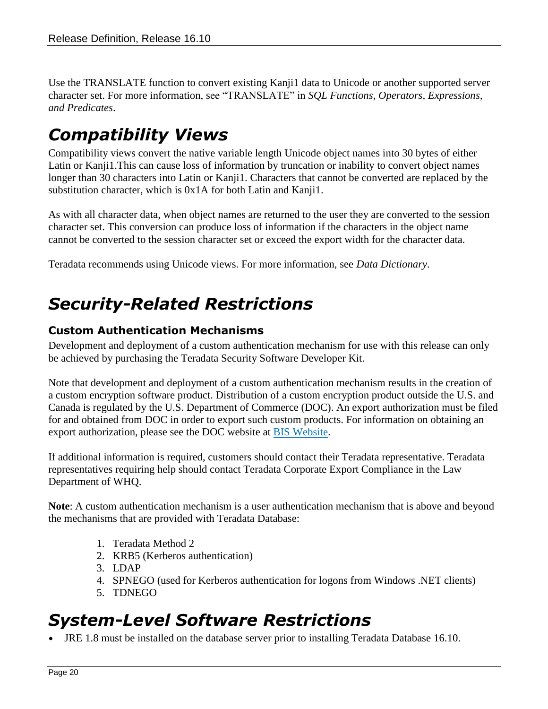Use the TRANSLATE function to convert existing Kanji1 data to Unicode or another supported server character set. For more information, see "TRANSLATE" in *SQL Functions, Operators, Expressions, and Predicates*.

## <span id="page-19-0"></span>*Compatibility Views*

Compatibility views convert the native variable length Unicode object names into 30 bytes of either Latin or Kanji1.This can cause loss of information by truncation or inability to convert object names longer than 30 characters into Latin or Kanji1. Characters that cannot be converted are replaced by the substitution character, which is 0x1A for both Latin and Kanji1.

As with all character data, when object names are returned to the user they are converted to the session character set. This conversion can produce loss of information if the characters in the object name cannot be converted to the session character set or exceed the export width for the character data.

Teradata recommends using Unicode views. For more information, see *Data Dictionary*.

## <span id="page-19-1"></span>*Security-Related Restrictions*

#### <span id="page-19-2"></span>**Custom Authentication Mechanisms**

Development and deployment of a custom authentication mechanism for use with this release can only be achieved by purchasing the Teradata Security Software Developer Kit.

Note that development and deployment of a custom authentication mechanism results in the creation of a custom encryption software product. Distribution of a custom encryption product outside the U.S. and Canada is regulated by the U.S. Department of Commerce (DOC). An export authorization must be filed for and obtained from DOC in order to export such custom products. For information on obtaining an export authorization, please see the DOC website at [BIS Website.](http://www.bis.doc.gov/)

If additional information is required, customers should contact their Teradata representative. Teradata representatives requiring help should contact Teradata Corporate Export Compliance in the Law Department of WHQ.

**Note**: A custom authentication mechanism is a user authentication mechanism that is above and beyond the mechanisms that are provided with Teradata Database:

- 1. Teradata Method 2
- 2. KRB5 (Kerberos authentication)
- 3. LDAP
- 4. SPNEGO (used for Kerberos authentication for logons from Windows .NET clients)
- 5. TDNEGO

### <span id="page-19-3"></span>*System-Level Software Restrictions*

• JRE 1.8 must be installed on the database server prior to installing Teradata Database 16.10.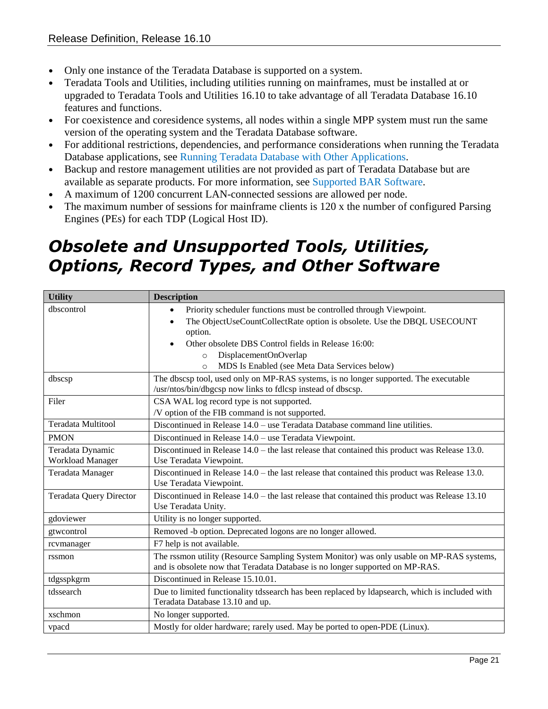- Only one instance of the Teradata Database is supported on a system.
- Teradata Tools and Utilities, including utilities running on mainframes, must be installed at or upgraded to Teradata Tools and Utilities 16.10 to take advantage of all Teradata Database 16.10 features and functions.
- For coexistence and coresidence systems, all nodes within a single MPP system must run the same version of the operating system and the Teradata Database software.
- For additional restrictions, dependencies, and performance considerations when running the Teradata Database applications, see [Running Teradata Database with Other Applications.](#page-38-0)
- Backup and restore management utilities are not provided as part of Teradata Database but are available as separate products. For more information, see [Supported BAR Software.](#page-15-6)
- A maximum of 1200 concurrent LAN-connected sessions are allowed per node.
- The maximum number of sessions for mainframe clients is 120 x the number of configured Parsing Engines (PEs) for each TDP (Logical Host ID).

## <span id="page-20-0"></span>*Obsolete and Unsupported Tools, Utilities, Options, Record Types, and Other Software*

| <b>Utility</b>                 | <b>Description</b>                                                                                                                                                       |  |
|--------------------------------|--------------------------------------------------------------------------------------------------------------------------------------------------------------------------|--|
| dbscontrol                     | Priority scheduler functions must be controlled through Viewpoint.                                                                                                       |  |
|                                | The ObjectUseCountCollectRate option is obsolete. Use the DBQL USECOUNT                                                                                                  |  |
|                                | option.                                                                                                                                                                  |  |
|                                | Other obsolete DBS Control fields in Release 16:00:                                                                                                                      |  |
|                                | DisplacementOnOverlap<br>$\circ$                                                                                                                                         |  |
|                                | MDS Is Enabled (see Meta Data Services below)<br>$\Omega$                                                                                                                |  |
| dbscsp                         | The dbscsp tool, used only on MP-RAS systems, is no longer supported. The executable<br>/usr/ntos/bin/dbgcsp now links to fdlcsp instead of dbscsp.                      |  |
| Filer                          | CSA WAL log record type is not supported.                                                                                                                                |  |
|                                | /V option of the FIB command is not supported.                                                                                                                           |  |
| <b>Teradata Multitool</b>      | Discontinued in Release $14.0$ – use Teradata Database command line utilities.                                                                                           |  |
| <b>PMON</b>                    | Discontinued in Release 14.0 - use Teradata Viewpoint.                                                                                                                   |  |
| Teradata Dynamic               | Discontinued in Release $14.0$ – the last release that contained this product was Release 13.0.                                                                          |  |
| Workload Manager               | Use Teradata Viewpoint.                                                                                                                                                  |  |
| <b>Teradata Manager</b>        | Discontinued in Release $14.0$ – the last release that contained this product was Release 13.0.                                                                          |  |
|                                | Use Teradata Viewpoint.                                                                                                                                                  |  |
| <b>Teradata Query Director</b> | Discontinued in Release 14.0 - the last release that contained this product was Release 13.10<br>Use Teradata Unity.                                                     |  |
| gdoviewer                      | Utility is no longer supported.                                                                                                                                          |  |
| gtwcontrol                     | Removed -b option. Deprecated logons are no longer allowed.                                                                                                              |  |
| rcvmanager                     | F7 help is not available.                                                                                                                                                |  |
| rssmon                         | The rssmon utility (Resource Sampling System Monitor) was only usable on MP-RAS systems,<br>and is obsolete now that Teradata Database is no longer supported on MP-RAS. |  |
| tdgsspkgrm                     | Discontinued in Release 15.10.01.                                                                                                                                        |  |
| tdssearch                      | Due to limited functionality tdssearch has been replaced by Idapsearch, which is included with<br>Teradata Database 13.10 and up.                                        |  |
| xschmon                        | No longer supported.                                                                                                                                                     |  |
| vpacd                          | Mostly for older hardware; rarely used. May be ported to open-PDE (Linux).                                                                                               |  |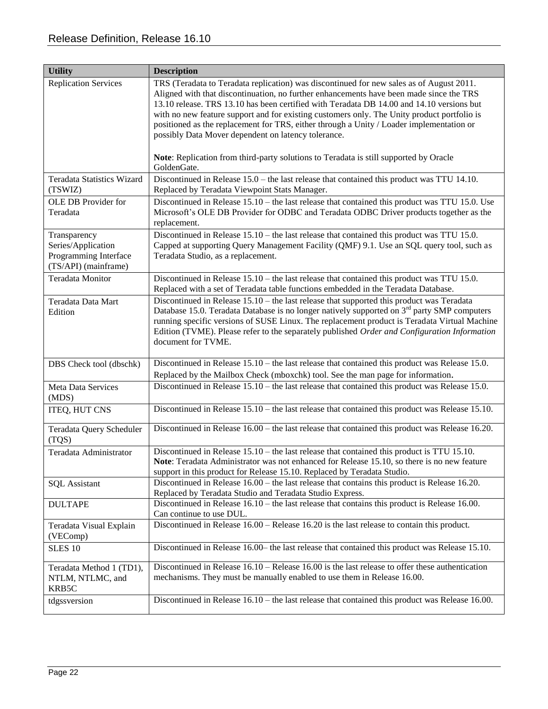| <b>Utility</b>                                                                      | <b>Description</b>                                                                                                                                                                                                                                                                                                                                                                                                                                                                                                                                                                                                          |
|-------------------------------------------------------------------------------------|-----------------------------------------------------------------------------------------------------------------------------------------------------------------------------------------------------------------------------------------------------------------------------------------------------------------------------------------------------------------------------------------------------------------------------------------------------------------------------------------------------------------------------------------------------------------------------------------------------------------------------|
| <b>Replication Services</b>                                                         | TRS (Teradata to Teradata replication) was discontinued for new sales as of August 2011.<br>Aligned with that discontinuation, no further enhancements have been made since the TRS<br>13.10 release. TRS 13.10 has been certified with Teradata DB 14.00 and 14.10 versions but<br>with no new feature support and for existing customers only. The Unity product portfolio is<br>positioned as the replacement for TRS, either through a Unity / Loader implementation or<br>possibly Data Mover dependent on latency tolerance.<br>Note: Replication from third-party solutions to Teradata is still supported by Oracle |
| <b>Teradata Statistics Wizard</b>                                                   | GoldenGate.<br>Discontinued in Release $15.0$ – the last release that contained this product was TTU 14.10.                                                                                                                                                                                                                                                                                                                                                                                                                                                                                                                 |
| (TSWIZ)                                                                             | Replaced by Teradata Viewpoint Stats Manager.                                                                                                                                                                                                                                                                                                                                                                                                                                                                                                                                                                               |
| OLE DB Provider for<br>Teradata                                                     | Discontinued in Release 15.10 – the last release that contained this product was TTU 15.0. Use<br>Microsoft's OLE DB Provider for ODBC and Teradata ODBC Driver products together as the<br>replacement.                                                                                                                                                                                                                                                                                                                                                                                                                    |
| Transparency<br>Series/Application<br>Programming Interface<br>(TS/API) (mainframe) | Discontinued in Release $15.10$ – the last release that contained this product was TTU 15.0.<br>Capped at supporting Query Management Facility (QMF) 9.1. Use an SQL query tool, such as<br>Teradata Studio, as a replacement.                                                                                                                                                                                                                                                                                                                                                                                              |
| <b>Teradata Monitor</b>                                                             | Discontinued in Release 15.10 – the last release that contained this product was TTU 15.0.<br>Replaced with a set of Teradata table functions embedded in the Teradata Database.                                                                                                                                                                                                                                                                                                                                                                                                                                            |
| Teradata Data Mart<br>Edition                                                       | Discontinued in Release $15.10$ – the last release that supported this product was Teradata<br>Database 15.0. Teradata Database is no longer natively supported on $3rd$ party SMP computers<br>running specific versions of SUSE Linux. The replacement product is Teradata Virtual Machine<br>Edition (TVME). Please refer to the separately published Order and Configuration Information<br>document for TVME.                                                                                                                                                                                                          |
| DBS Check tool (dbschk)                                                             | Discontinued in Release 15.10 – the last release that contained this product was Release 15.0.<br>Replaced by the Mailbox Check (mboxchk) tool. See the man page for information.                                                                                                                                                                                                                                                                                                                                                                                                                                           |
| Meta Data Services<br>(MDS)                                                         | Discontinued in Release $15.10$ – the last release that contained this product was Release 15.0.                                                                                                                                                                                                                                                                                                                                                                                                                                                                                                                            |
| ITEQ, HUT CNS                                                                       | Discontinued in Release 15.10 – the last release that contained this product was Release 15.10.                                                                                                                                                                                                                                                                                                                                                                                                                                                                                                                             |
| Teradata Query Scheduler<br>(TQS)                                                   | Discontinued in Release $16.00 -$ the last release that contained this product was Release 16.20.                                                                                                                                                                                                                                                                                                                                                                                                                                                                                                                           |
| Teradata Administrator                                                              | Discontinued in Release $15.10$ – the last release that contained this product is TTU 15.10.<br>Note: Teradata Administrator was not enhanced for Release 15.10, so there is no new feature<br>support in this product for Release 15.10. Replaced by Teradata Studio.                                                                                                                                                                                                                                                                                                                                                      |
| <b>SQL</b> Assistant                                                                | Discontinued in Release 16.00 – the last release that contains this product is Release 16.20.<br>Replaced by Teradata Studio and Teradata Studio Express.                                                                                                                                                                                                                                                                                                                                                                                                                                                                   |
| <b>DULTAPE</b>                                                                      | Discontinued in Release $16.10$ – the last release that contains this product is Release 16.00.<br>Can continue to use DUL.                                                                                                                                                                                                                                                                                                                                                                                                                                                                                                 |
| Teradata Visual Explain<br>(VEComp)                                                 | Discontinued in Release $16.00$ – Release $16.20$ is the last release to contain this product.                                                                                                                                                                                                                                                                                                                                                                                                                                                                                                                              |
| <b>SLES 10</b>                                                                      | Discontinued in Release 16.00– the last release that contained this product was Release 15.10.                                                                                                                                                                                                                                                                                                                                                                                                                                                                                                                              |
| Teradata Method 1 (TD1),<br>NTLM, NTLMC, and<br>KRB5C                               | Discontinued in Release $16.10$ – Release $16.00$ is the last release to offer these authentication<br>mechanisms. They must be manually enabled to use them in Release 16.00.                                                                                                                                                                                                                                                                                                                                                                                                                                              |
| tdgssversion                                                                        | Discontinued in Release $16.10$ – the last release that contained this product was Release 16.00.                                                                                                                                                                                                                                                                                                                                                                                                                                                                                                                           |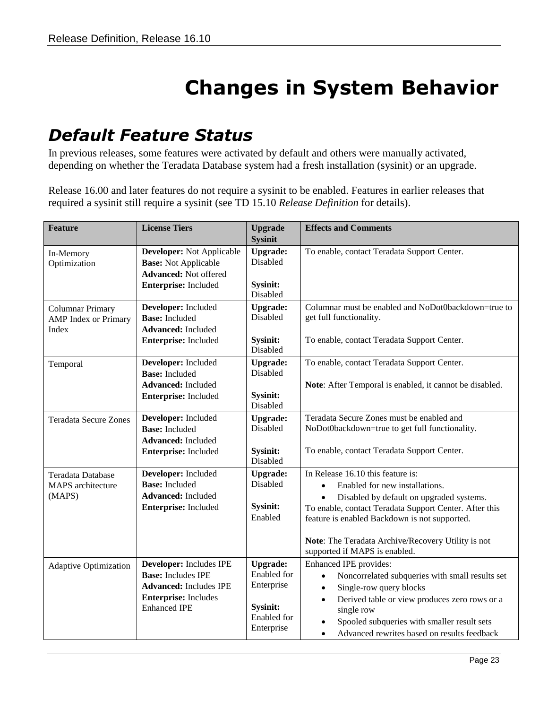# **Changes in System Behavior**

#### <span id="page-22-1"></span><span id="page-22-0"></span>*Default Feature Status*

In previous releases, some features were activated by default and others were manually activated, depending on whether the Teradata Database system had a fresh installation (sysinit) or an upgrade.

Release 16.00 and later features do not require a sysinit to be enabled. Features in earlier releases that required a sysinit still require a sysinit (see TD 15.10 *Release Definition* for details).

| <b>Feature</b>                                                  | <b>License Tiers</b>                                                                                                                        | <b>Upgrade</b><br><b>Sysinit</b>                                                                    | <b>Effects and Comments</b>                                                                                                                                                                                                                                                                                       |
|-----------------------------------------------------------------|---------------------------------------------------------------------------------------------------------------------------------------------|-----------------------------------------------------------------------------------------------------|-------------------------------------------------------------------------------------------------------------------------------------------------------------------------------------------------------------------------------------------------------------------------------------------------------------------|
| In-Memory<br>Optimization                                       | <b>Developer:</b> Not Applicable<br><b>Base:</b> Not Applicable<br><b>Advanced:</b> Not offered<br>Enterprise: Included                     | <b>Upgrade:</b><br>Disabled<br>Sysinit:<br>Disabled                                                 | To enable, contact Teradata Support Center.                                                                                                                                                                                                                                                                       |
| <b>Columnar Primary</b><br><b>AMP</b> Index or Primary<br>Index | Developer: Included<br><b>Base:</b> Included<br><b>Advanced:</b> Included<br>Enterprise: Included                                           | <b>Upgrade:</b><br>Disabled<br>Sysinit:<br>Disabled                                                 | Columnar must be enabled and NoDot0backdown=true to<br>get full functionality.<br>To enable, contact Teradata Support Center.                                                                                                                                                                                     |
| Temporal                                                        | Developer: Included<br><b>Base:</b> Included<br><b>Advanced:</b> Included<br>Enterprise: Included                                           | <b>Upgrade:</b><br>Disabled<br>Sysinit:<br>Disabled                                                 | To enable, contact Teradata Support Center.<br>Note: After Temporal is enabled, it cannot be disabled.                                                                                                                                                                                                            |
| <b>Teradata Secure Zones</b>                                    | Developer: Included<br><b>Base:</b> Included<br><b>Advanced:</b> Included<br>Enterprise: Included                                           | <b>Upgrade:</b><br>Disabled<br>Sysinit:<br>Disabled                                                 | Teradata Secure Zones must be enabled and<br>NoDot0backdown=true to get full functionality.<br>To enable, contact Teradata Support Center.                                                                                                                                                                        |
| Teradata Database<br>MAPS architecture<br>(MAPS)                | Developer: Included<br><b>Base:</b> Included<br><b>Advanced:</b> Included<br>Enterprise: Included                                           | <b>Upgrade:</b><br>Disabled<br><b>Sysinit:</b><br>Enabled                                           | In Release 16.10 this feature is:<br>Enabled for new installations.<br>Disabled by default on upgraded systems.<br>To enable, contact Teradata Support Center. After this<br>feature is enabled Backdown is not supported.<br>Note: The Teradata Archive/Recovery Utility is not<br>supported if MAPS is enabled. |
| <b>Adaptive Optimization</b>                                    | Developer: Includes IPE<br><b>Base:</b> Includes IPE<br><b>Advanced:</b> Includes IPE<br><b>Enterprise:</b> Includes<br><b>Enhanced IPE</b> | <b>Upgrade:</b><br>Enabled for<br>Enterprise<br><b>Sysinit:</b><br><b>Enabled</b> for<br>Enterprise | Enhanced IPE provides:<br>Noncorrelated subqueries with small results set<br>$\bullet$<br>Single-row query blocks<br>$\bullet$<br>Derived table or view produces zero rows or a<br>$\bullet$<br>single row<br>Spooled subqueries with smaller result sets<br>Advanced rewrites based on results feedback          |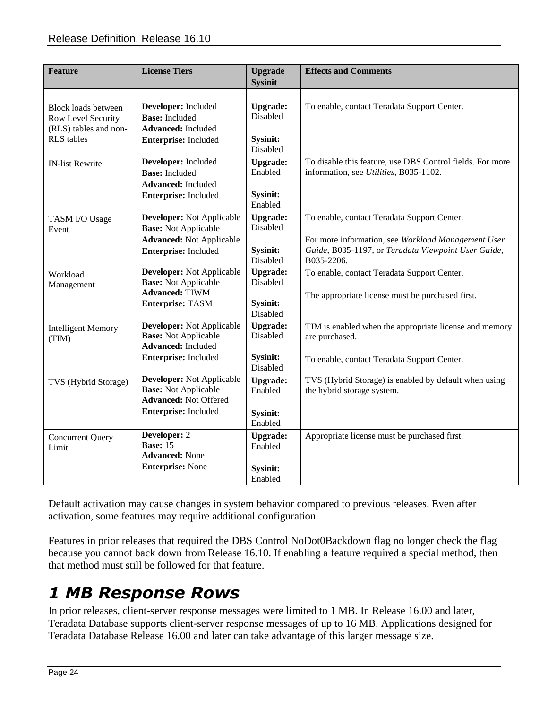| <b>Feature</b>                                                                                 | <b>License Tiers</b>                                                                                                 | <b>Upgrade</b><br><b>Sysinit</b>                    | <b>Effects and Comments</b>                                                                                                                                            |
|------------------------------------------------------------------------------------------------|----------------------------------------------------------------------------------------------------------------------|-----------------------------------------------------|------------------------------------------------------------------------------------------------------------------------------------------------------------------------|
|                                                                                                |                                                                                                                      |                                                     |                                                                                                                                                                        |
| <b>Block loads between</b><br>Row Level Security<br>(RLS) tables and non-<br><b>RLS</b> tables | Developer: Included<br><b>Base:</b> Included<br><b>Advanced:</b> Included<br>Enterprise: Included                    | <b>Upgrade:</b><br>Disabled<br>Sysinit:<br>Disabled | To enable, contact Teradata Support Center.                                                                                                                            |
| <b>IN-list Rewrite</b>                                                                         | Developer: Included<br><b>Base:</b> Included<br><b>Advanced:</b> Included<br>Enterprise: Included                    | <b>Upgrade:</b><br>Enabled<br>Sysinit:<br>Enabled   | To disable this feature, use DBS Control fields. For more<br>information, see <i>Utilities</i> , B035-1102.                                                            |
| TASM I/O Usage<br>Event                                                                        | Developer: Not Applicable<br><b>Base:</b> Not Applicable<br><b>Advanced:</b> Not Applicable<br>Enterprise: Included  | <b>Upgrade:</b><br>Disabled<br>Sysinit:<br>Disabled | To enable, contact Teradata Support Center.<br>For more information, see Workload Management User<br>Guide, B035-1197, or Teradata Viewpoint User Guide,<br>B035-2206. |
| Workload<br>Management                                                                         | Developer: Not Applicable<br><b>Base:</b> Not Applicable<br><b>Advanced: TIWM</b><br><b>Enterprise: TASM</b>         | <b>Upgrade:</b><br>Disabled<br>Sysinit:<br>Disabled | To enable, contact Teradata Support Center.<br>The appropriate license must be purchased first.                                                                        |
| <b>Intelligent Memory</b><br>(TIM)                                                             | <b>Developer:</b> Not Applicable<br><b>Base:</b> Not Applicable<br><b>Advanced:</b> Included<br>Enterprise: Included | <b>Upgrade:</b><br>Disabled<br>Sysinit:<br>Disabled | TIM is enabled when the appropriate license and memory<br>are purchased.<br>To enable, contact Teradata Support Center.                                                |
| TVS (Hybrid Storage)                                                                           | Developer: Not Applicable<br><b>Base:</b> Not Applicable<br><b>Advanced: Not Offered</b><br>Enterprise: Included     | <b>Upgrade:</b><br>Enabled<br>Sysinit:<br>Enabled   | TVS (Hybrid Storage) is enabled by default when using<br>the hybrid storage system.                                                                                    |
| <b>Concurrent Query</b><br>Limit                                                               | Developer: 2<br><b>Base: 15</b><br><b>Advanced:</b> None<br><b>Enterprise: None</b>                                  | <b>Upgrade:</b><br>Enabled<br>Sysinit:<br>Enabled   | Appropriate license must be purchased first.                                                                                                                           |

Default activation may cause changes in system behavior compared to previous releases. Even after activation, some features may require additional configuration.

Features in prior releases that required the DBS Control NoDot0Backdown flag no longer check the flag because you cannot back down from Release 16.10. If enabling a feature required a special method, then that method must still be followed for that feature.

# <span id="page-23-0"></span>*1 MB Response Rows*

In prior releases, client-server response messages were limited to 1 MB. In Release 16.00 and later, Teradata Database supports client-server response messages of up to 16 MB. Applications designed for Teradata Database Release 16.00 and later can take advantage of this larger message size.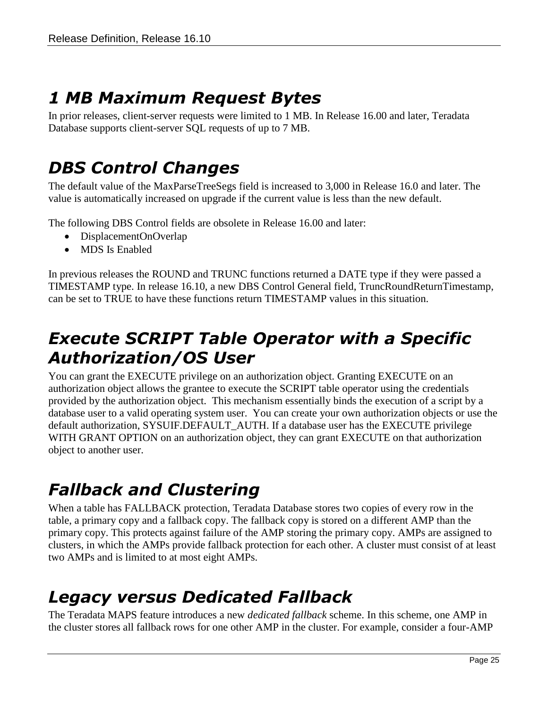## <span id="page-24-0"></span>*1 MB Maximum Request Bytes*

In prior releases, client-server requests were limited to 1 MB. In Release 16.00 and later, Teradata Database supports client-server SQL requests of up to 7 MB.

### <span id="page-24-1"></span>*DBS Control Changes*

The default value of the MaxParseTreeSegs field is increased to 3,000 in Release 16.0 and later. The value is automatically increased on upgrade if the current value is less than the new default.

The following DBS Control fields are obsolete in Release 16.00 and later:

- DisplacementOnOverlap
- MDS Is Enabled

In previous releases the ROUND and TRUNC functions returned a DATE type if they were passed a TIMESTAMP type. In release 16.10, a new DBS Control General field, TruncRoundReturnTimestamp, can be set to TRUE to have these functions return TIMESTAMP values in this situation.

### <span id="page-24-2"></span>*Execute SCRIPT Table Operator with a Specific Authorization/OS User*

You can grant the EXECUTE privilege on an authorization object. Granting EXECUTE on an authorization object allows the grantee to execute the SCRIPT table operator using the credentials provided by the authorization object. This mechanism essentially binds the execution of a script by a database user to a valid operating system user. You can create your own authorization objects or use the default authorization, SYSUIF.DEFAULT\_AUTH. If a database user has the EXECUTE privilege WITH GRANT OPTION on an authorization object, they can grant EXECUTE on that authorization object to another user.

# <span id="page-24-3"></span>*Fallback and Clustering*

When a table has FALLBACK protection, Teradata Database stores two copies of every row in the table, a primary copy and a fallback copy. The fallback copy is stored on a different AMP than the primary copy. This protects against failure of the AMP storing the primary copy. AMPs are assigned to clusters, in which the AMPs provide fallback protection for each other. A cluster must consist of at least two AMPs and is limited to at most eight AMPs.

### <span id="page-24-4"></span>*Legacy versus Dedicated Fallback*

The Teradata MAPS feature introduces a new *dedicated fallback* scheme. In this scheme, one AMP in the cluster stores all fallback rows for one other AMP in the cluster. For example, consider a four-AMP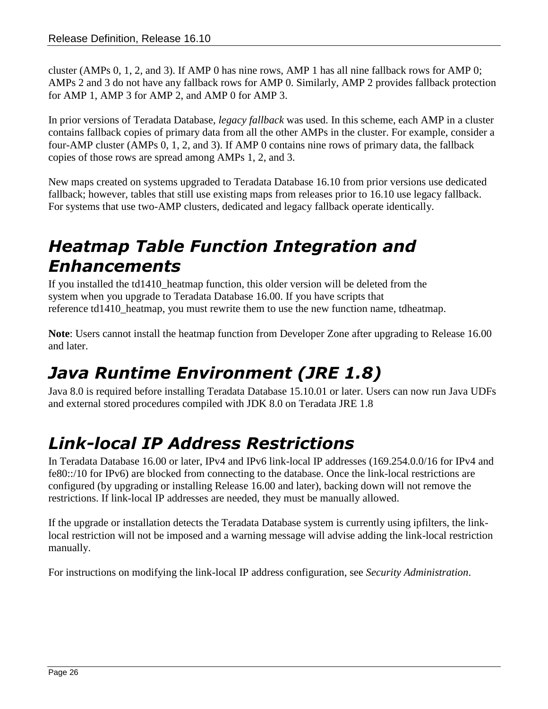cluster (AMPs 0, 1, 2, and 3). If AMP 0 has nine rows, AMP 1 has all nine fallback rows for AMP 0; AMPs 2 and 3 do not have any fallback rows for AMP 0. Similarly, AMP 2 provides fallback protection for AMP 1, AMP 3 for AMP 2, and AMP 0 for AMP 3.

In prior versions of Teradata Database, *legacy fallback* was used. In this scheme, each AMP in a cluster contains fallback copies of primary data from all the other AMPs in the cluster. For example, consider a four-AMP cluster (AMPs 0, 1, 2, and 3). If AMP 0 contains nine rows of primary data, the fallback copies of those rows are spread among AMPs 1, 2, and 3.

New maps created on systems upgraded to Teradata Database 16.10 from prior versions use dedicated fallback; however, tables that still use existing maps from releases prior to 16.10 use legacy fallback. For systems that use two-AMP clusters, dedicated and legacy fallback operate identically.

## <span id="page-25-0"></span>*Heatmap Table Function Integration and Enhancements*

If you installed the td1410\_heatmap function, this older version will be deleted from the system when you upgrade to Teradata Database 16.00. If you have scripts that reference td1410 heatmap, you must rewrite them to use the new function name, tdheatmap.

**Note**: Users cannot install the heatmap function from Developer Zone after upgrading to Release 16.00 and later.

# <span id="page-25-1"></span>*Java Runtime Environment (JRE 1.8)*

Java 8.0 is required before installing Teradata Database 15.10.01 or later. Users can now run Java UDFs and external stored procedures compiled with JDK 8.0 on Teradata JRE 1.8

# <span id="page-25-2"></span>*Link-local IP Address Restrictions*

In Teradata Database 16.00 or later, IPv4 and IPv6 link-local IP addresses (169.254.0.0/16 for IPv4 and fe80::/10 for IPv6) are blocked from connecting to the database. Once the link-local restrictions are configured (by upgrading or installing Release 16.00 and later), backing down will not remove the restrictions. If link-local IP addresses are needed, they must be manually allowed.

If the upgrade or installation detects the Teradata Database system is currently using ipfilters, the linklocal restriction will not be imposed and a warning message will advise adding the link-local restriction manually.

For instructions on modifying the link-local IP address configuration, see *Security Administration*.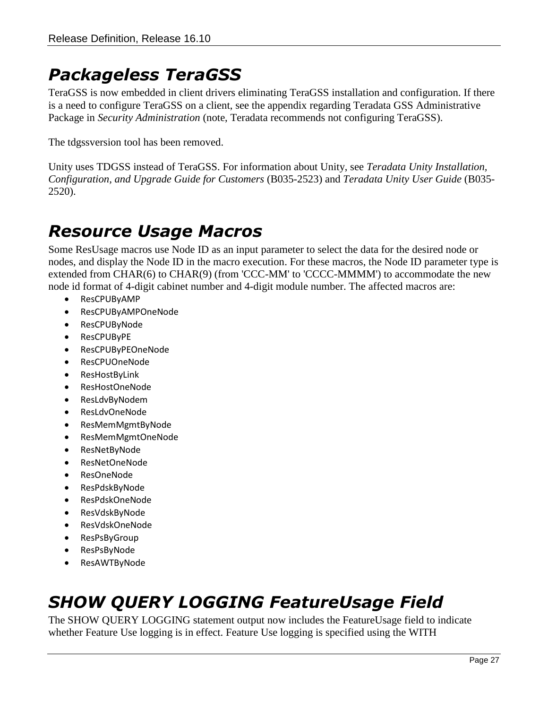### <span id="page-26-0"></span>*Packageless TeraGSS*

TeraGSS is now embedded in client drivers eliminating TeraGSS installation and configuration. If there is a need to configure TeraGSS on a client, see the appendix regarding Teradata GSS Administrative Package in *Security Administration* (note, Teradata recommends not configuring TeraGSS).

The tdgssversion tool has been removed.

Unity uses TDGSS instead of TeraGSS. For information about Unity, see *Teradata Unity Installation, Configuration, and Upgrade Guide for Customers* (B035-2523) and *Teradata Unity User Guide* (B035- 2520).

### <span id="page-26-1"></span>*Resource Usage Macros*

Some ResUsage macros use Node ID as an input parameter to select the data for the desired node or nodes, and display the Node ID in the macro execution. For these macros, the Node ID parameter type is extended from CHAR(6) to CHAR(9) (from 'CCC-MM' to 'CCCC-MMMM') to accommodate the new node id format of 4-digit cabinet number and 4-digit module number. The affected macros are:

- ResCPUByAMP
- ResCPUByAMPOneNode
- ResCPUByNode
- ResCPUByPE
- ResCPUByPEOneNode
- ResCPUOneNode
- ResHostByLink
- ResHostOneNode
- ResLdvByNodem
- ResLdvOneNode
- ResMemMgmtByNode
- ResMemMgmtOneNode
- ResNetByNode
- ResNetOneNode
- ResOneNode
- ResPdskByNode
- ResPdskOneNode
- ResVdskByNode
- ResVdskOneNode
- ResPsByGroup
- ResPsByNode
- ResAWTByNode

# <span id="page-26-2"></span>*SHOW QUERY LOGGING FeatureUsage Field*

The SHOW QUERY LOGGING statement output now includes the FeatureUsage field to indicate whether Feature Use logging is in effect. Feature Use logging is specified using the WITH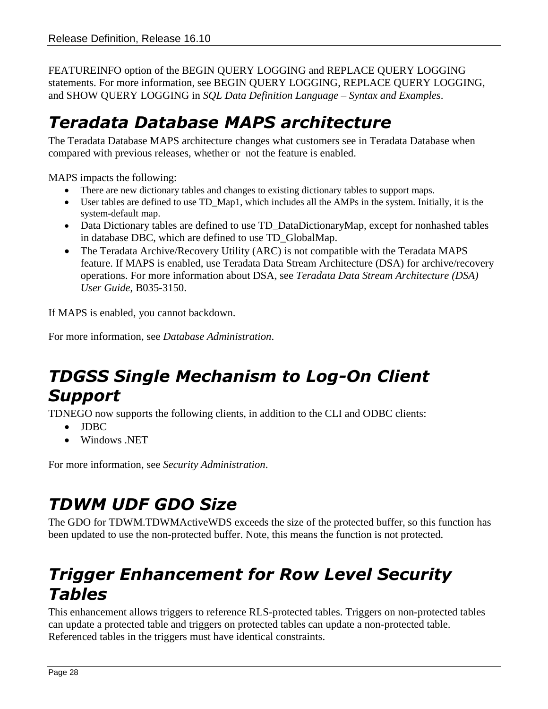FEATUREINFO option of the BEGIN QUERY LOGGING and REPLACE QUERY LOGGING statements. For more information, see BEGIN QUERY LOGGING, REPLACE QUERY LOGGING, and SHOW QUERY LOGGING in *SQL Data Definition Language – Syntax and Examples*.

## <span id="page-27-0"></span>*Teradata Database MAPS architecture*

The Teradata Database MAPS architecture changes what customers see in Teradata Database when compared with previous releases, whether or not the feature is enabled.

MAPS impacts the following:

- There are new dictionary tables and changes to existing dictionary tables to support maps.
- User tables are defined to use TD\_Map1, which includes all the AMPs in the system. Initially, it is the system-default map.
- Data Dictionary tables are defined to use TD\_DataDictionaryMap, except for nonhashed tables in database DBC, which are defined to use TD\_GlobalMap.
- The Teradata Archive/Recovery Utility (ARC) is not compatible with the Teradata MAPS feature. If MAPS is enabled, use Teradata Data Stream Architecture (DSA) for archive/recovery operations. For more information about DSA, see *Teradata Data Stream Architecture (DSA) User Guide*, B035-3150.

If MAPS is enabled, you cannot backdown.

For more information, see *Database Administration*.

# <span id="page-27-1"></span>*TDGSS Single Mechanism to Log-On Client Support*

TDNEGO now supports the following clients, in addition to the CLI and ODBC clients:

- JDBC
- Windows .NET

For more information, see *Security Administration*.

# <span id="page-27-2"></span>*TDWM UDF GDO Size*

The GDO for TDWM.TDWMActiveWDS exceeds the size of the protected buffer, so this function has been updated to use the non-protected buffer. Note, this means the function is not protected.

## <span id="page-27-3"></span>*Trigger Enhancement for Row Level Security Tables*

This enhancement allows triggers to reference RLS-protected tables. Triggers on non-protected tables can update a protected table and triggers on protected tables can update a non-protected table. Referenced tables in the triggers must have identical constraints.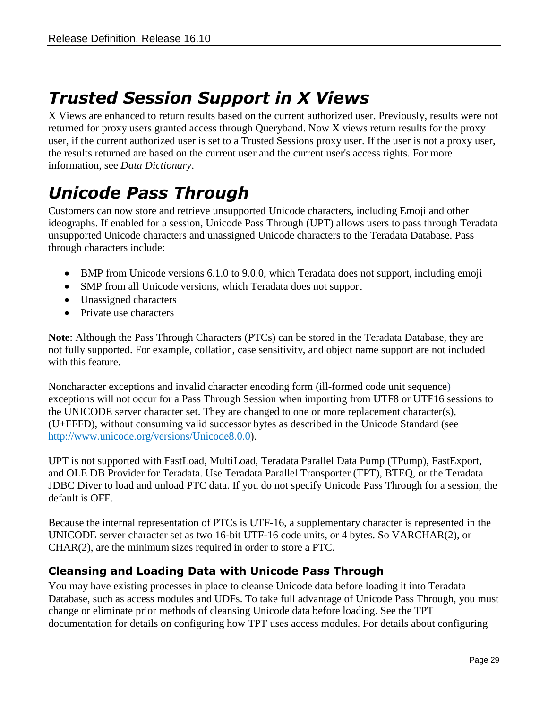# <span id="page-28-0"></span>*Trusted Session Support in X Views*

X Views are enhanced to return results based on the current authorized user. Previously, results were not returned for proxy users granted access through Queryband. Now X views return results for the proxy user, if the current authorized user is set to a Trusted Sessions proxy user. If the user is not a proxy user, the results returned are based on the current user and the current user's access rights. For more information, see *Data Dictionary*.

# <span id="page-28-1"></span>*Unicode Pass Through*

Customers can now store and retrieve unsupported Unicode characters, including Emoji and other ideographs. If enabled for a session, Unicode Pass Through (UPT) allows users to pass through Teradata unsupported Unicode characters and unassigned Unicode characters to the Teradata Database. Pass through characters include:

- BMP from Unicode versions 6.1.0 to 9.0.0, which Teradata does not support, including emoji
- SMP from all Unicode versions, which Teradata does not support
- Unassigned characters
- Private use characters

**Note**: Although the Pass Through Characters (PTCs) can be stored in the Teradata Database, they are not fully supported. For example, collation, case sensitivity, and object name support are not included with this feature.

Noncharacter exceptions and invalid character encoding form (ill-formed code unit sequence) exceptions will not occur for a Pass Through Session when importing from UTF8 or UTF16 sessions to the UNICODE server character set. They are changed to one or more replacement character(s), (U+FFFD), without consuming valid successor bytes as described in the Unicode Standard (see [http://www.unicode.org/versions/Unicode8.0.0\)](http://www.unicode.org/versions/Unicode8.0.0).

UPT is not supported with FastLoad, MultiLoad, Teradata Parallel Data Pump (TPump), FastExport, and OLE DB Provider for Teradata. Use Teradata Parallel Transporter (TPT), BTEQ, or the Teradata JDBC Diver to load and unload PTC data. If you do not specify Unicode Pass Through for a session, the default is OFF.

Because the internal representation of PTCs is UTF-16, a supplementary character is represented in the UNICODE server character set as two 16-bit UTF-16 code units, or 4 bytes. So VARCHAR(2), or CHAR(2), are the minimum sizes required in order to store a PTC.

#### <span id="page-28-2"></span>**Cleansing and Loading Data with Unicode Pass Through**

You may have existing processes in place to cleanse Unicode data before loading it into Teradata Database, such as access modules and UDFs. To take full advantage of Unicode Pass Through, you must change or eliminate prior methods of cleansing Unicode data before loading. See the TPT documentation for details on configuring how TPT uses access modules. For details about configuring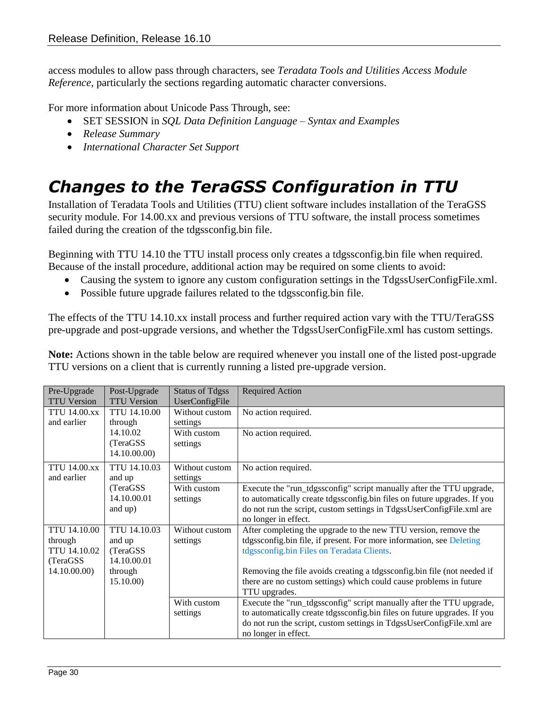access modules to allow pass through characters, see *Teradata Tools and Utilities Access Module Reference*, particularly the sections regarding automatic character conversions.

For more information about Unicode Pass Through, see:

- SET SESSION in *SQL Data Definition Language – Syntax and Examples*
- *Release Summary*
- *International Character Set Support*

# <span id="page-29-0"></span>*Changes to the TeraGSS Configuration in TTU*

Installation of Teradata Tools and Utilities (TTU) client software includes installation of the TeraGSS security module. For 14.00.xx and previous versions of TTU software, the install process sometimes failed during the creation of the tdgssconfig.bin file.

Beginning with TTU 14.10 the TTU install process only creates a tdgssconfig.bin file when required. Because of the install procedure, additional action may be required on some clients to avoid:

- Causing the system to ignore any custom configuration settings in the TdgssUserConfigFile.xml.
- Possible future upgrade failures related to the tdgssconfig.bin file.

The effects of the TTU 14.10.xx install process and further required action vary with the TTU/TeraGSS pre-upgrade and post-upgrade versions, and whether the TdgssUserConfigFile.xml has custom settings.

**Note:** Actions shown in the table below are required whenever you install one of the listed post-upgrade TTU versions on a client that is currently running a listed pre-upgrade version.

| Pre-Upgrade         | Post-Upgrade        | <b>Status of Tdgss</b> | <b>Required Action</b>                                                   |
|---------------------|---------------------|------------------------|--------------------------------------------------------------------------|
| <b>TTU Version</b>  | <b>TTU Version</b>  | UserConfigFile         |                                                                          |
| <b>TTU 14.00.xx</b> | <b>TTU 14.10.00</b> | Without custom         | No action required.                                                      |
| and earlier         | through             | settings               |                                                                          |
|                     | 14.10.02            | With custom            | No action required.                                                      |
|                     | (TeraGSS)           | settings               |                                                                          |
|                     | 14.10.00.00         |                        |                                                                          |
| <b>TTU 14.00.xx</b> | TTU 14.10.03        | Without custom         | No action required.                                                      |
| and earlier         | and up              | settings               |                                                                          |
|                     | (TeraGSS)           | With custom            | Execute the "run_tdgssconfig" script manually after the TTU upgrade,     |
|                     | 14.10.00.01         | settings               | to automatically create tdgssconfig.bin files on future upgrades. If you |
|                     | and up)             |                        | do not run the script, custom settings in TdgssUserConfigFile.xml are    |
|                     |                     |                        | no longer in effect.                                                     |
| <b>TTU 14.10.00</b> | <b>TTU 14.10.03</b> | Without custom         | After completing the upgrade to the new TTU version, remove the          |
| through             | and up              | settings               | tdgssconfig.bin file, if present. For more information, see Deleting     |
| TTU 14.10.02        | (TeraGSS)           |                        | tdgssconfig.bin Files on Teradata Clients.                               |
| (TeraGSS)           | 14.10.00.01         |                        |                                                                          |
| 14.10.00.00)        | through             |                        | Removing the file avoids creating a tdgssconfig.bin file (not needed if  |
|                     | 15.10.00)           |                        | there are no custom settings) which could cause problems in future       |
|                     |                     |                        | TTU upgrades.                                                            |
|                     |                     | With custom            | Execute the "run_tdgssconfig" script manually after the TTU upgrade,     |
|                     |                     | settings               | to automatically create tdgssconfig.bin files on future upgrades. If you |
|                     |                     |                        | do not run the script, custom settings in TdgssUserConfigFile.xml are    |
|                     |                     |                        | no longer in effect.                                                     |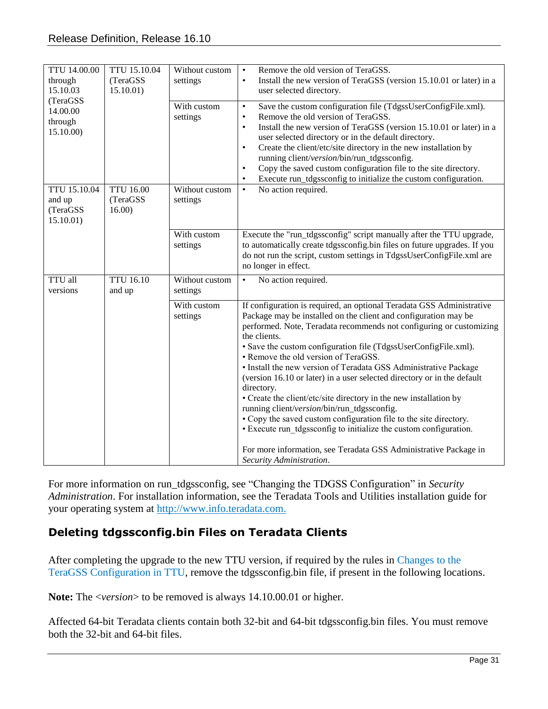| TTU 14.00.00<br>through<br>15.10.03            | TTU 15.10.04<br>(TeraGSS)<br>15.10.01) | Without custom<br>settings | Remove the old version of TeraGSS.<br>$\bullet$<br>Install the new version of TeraGSS (version 15.10.01 or later) in a<br>$\bullet$<br>user selected directory.                                                                                                                                                                                                                                                                                                                                                                                                                                                                                                                                                                                                                                                                                                       |
|------------------------------------------------|----------------------------------------|----------------------------|-----------------------------------------------------------------------------------------------------------------------------------------------------------------------------------------------------------------------------------------------------------------------------------------------------------------------------------------------------------------------------------------------------------------------------------------------------------------------------------------------------------------------------------------------------------------------------------------------------------------------------------------------------------------------------------------------------------------------------------------------------------------------------------------------------------------------------------------------------------------------|
| (TeraGSS<br>14.00.00<br>through<br>15.10.00)   |                                        | With custom<br>settings    | Save the custom configuration file (TdgssUserConfigFile.xml).<br>$\bullet$<br>Remove the old version of TeraGSS.<br>$\bullet$<br>Install the new version of TeraGSS (version 15.10.01 or later) in a<br>$\bullet$<br>user selected directory or in the default directory.<br>Create the client/etc/site directory in the new installation by<br>$\bullet$<br>running client/version/bin/run_tdgssconfig.<br>Copy the saved custom configuration file to the site directory.<br>$\bullet$<br>Execute run_tdgssconfig to initialize the custom configuration.<br>$\bullet$                                                                                                                                                                                                                                                                                              |
| TTU 15.10.04<br>and up<br>(TeraGSS<br>15.10.01 | <b>TTU 16.00</b><br>(TeraGSS<br>16.00  | Without custom<br>settings | No action required.<br>$\bullet$                                                                                                                                                                                                                                                                                                                                                                                                                                                                                                                                                                                                                                                                                                                                                                                                                                      |
|                                                |                                        | With custom<br>settings    | Execute the "run_tdgssconfig" script manually after the TTU upgrade,<br>to automatically create tdgssconfig.bin files on future upgrades. If you<br>do not run the script, custom settings in TdgssUserConfigFile.xml are<br>no longer in effect.                                                                                                                                                                                                                                                                                                                                                                                                                                                                                                                                                                                                                     |
| TTU all<br>versions                            | <b>TTU 16.10</b><br>and up             | Without custom<br>settings | No action required.<br>$\bullet$                                                                                                                                                                                                                                                                                                                                                                                                                                                                                                                                                                                                                                                                                                                                                                                                                                      |
|                                                |                                        | With custom<br>settings    | If configuration is required, an optional Teradata GSS Administrative<br>Package may be installed on the client and configuration may be<br>performed. Note, Teradata recommends not configuring or customizing<br>the clients.<br>• Save the custom configuration file (TdgssUserConfigFile.xml).<br>• Remove the old version of TeraGSS.<br>• Install the new version of Teradata GSS Administrative Package<br>(version 16.10 or later) in a user selected directory or in the default<br>directory.<br>• Create the client/etc/site directory in the new installation by<br>running client/version/bin/run_tdgssconfig.<br>• Copy the saved custom configuration file to the site directory.<br>• Execute run tdgssconfig to initialize the custom configuration.<br>For more information, see Teradata GSS Administrative Package in<br>Security Administration. |

For more information on run\_tdgssconfig, see "Changing the TDGSS Configuration" in *Security Administration*. For installation information, see the Teradata Tools and Utilities installation guide for your operating system at [http://www.info.teradata.com.](http://www.info.teradata.com/)

#### <span id="page-30-0"></span>**Deleting tdgssconfig.bin Files on Teradata Clients**

After completing the upgrade to the new TTU version, if required by the rules in [Changes to the](#page-29-0)  TeraGSS [Configuration](#page-29-0) in TTU, remove the tdgssconfig.bin file, if present in the following locations.

**Note:** The <*version*> to be removed is always 14.10.00.01 or higher.

Affected 64-bit Teradata clients contain both 32-bit and 64-bit tdgssconfig.bin files. You must remove both the 32-bit and 64-bit files.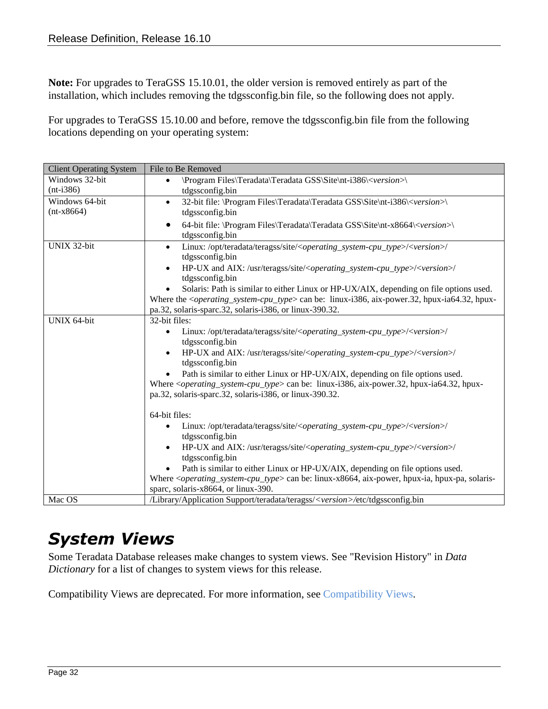**Note:** For upgrades to TeraGSS 15.10.01, the older version is removed entirely as part of the installation, which includes removing the tdgssconfig.bin file, so the following does not apply.

For upgrades to TeraGSS 15.10.00 and before, remove the tdgssconfig.bin file from the following locations depending on your operating system:

| <b>Client Operating System</b> | File to Be Removed                                                                                                                                                           |  |  |  |
|--------------------------------|------------------------------------------------------------------------------------------------------------------------------------------------------------------------------|--|--|--|
| Windows 32-bit                 | \Program Files\Teradata\Teradata GSS\Site\nt-i386\ <version>\<br/><math display="inline">\bullet</math></version>                                                            |  |  |  |
| $(nt-i386)$                    | tdgssconfig.bin                                                                                                                                                              |  |  |  |
| Windows 64-bit                 | 32-bit file: \Program Files\Teradata\Teradata GSS\Site\nt-i386\ <version>\<br/><math display="inline">\bullet</math></version>                                               |  |  |  |
| $(nt-x8664)$                   | tdgssconfig.bin                                                                                                                                                              |  |  |  |
|                                | 64-bit file: \Program Files\Teradata\Teradata GSS\Site\nt-x8664\ <version>\<br/><math display="inline">\bullet</math></version>                                              |  |  |  |
|                                | tdgssconfig.bin                                                                                                                                                              |  |  |  |
| UNIX 32-bit                    | Linux:/opt/teradata/teragss/site/ <operating_system-cpu_type>/<version>/<br/><math display="inline">\bullet</math><br/>tdgssconfig.bin</version></operating_system-cpu_type> |  |  |  |
|                                | HP-UX and AIX: /usr/teragss/site/ <operating_system-cpu_type>/<version>/<br/>tdgssconfig.bin</version></operating_system-cpu_type>                                           |  |  |  |
|                                | Solaris: Path is similar to either Linux or HP-UX/AIX, depending on file options used.<br>$\bullet$                                                                          |  |  |  |
|                                | Where the <i><operating_system-cpu_type></operating_system-cpu_type></i> can be: linux-i386, aix-power.32, hpux-ia64.32, hpux-                                               |  |  |  |
|                                | pa.32, solaris-sparc.32, solaris-i386, or linux-390.32.                                                                                                                      |  |  |  |
| UNIX 64-bit                    | 32-bit files:                                                                                                                                                                |  |  |  |
|                                | Linux:/opt/teradata/teragss/site/ <operating_system-cpu_type>/<version>/<br/><math display="inline">\bullet</math></version></operating_system-cpu_type>                     |  |  |  |
|                                | tdgssconfig.bin                                                                                                                                                              |  |  |  |
|                                | HP-UX and AIX: /usr/teragss/site/ <operating_system-cpu_type>/<version>/<br/><math display="inline">\bullet</math></version></operating_system-cpu_type>                     |  |  |  |
|                                | tdgssconfig.bin                                                                                                                                                              |  |  |  |
|                                | Path is similar to either Linux or HP-UX/AIX, depending on file options used.                                                                                                |  |  |  |
|                                | Where <operating_system-cpu_type> can be: linux-i386, aix-power.32, hpux-ia64.32, hpux-</operating_system-cpu_type>                                                          |  |  |  |
|                                | pa.32, solaris-sparc.32, solaris-i386, or linux-390.32.                                                                                                                      |  |  |  |
|                                |                                                                                                                                                                              |  |  |  |
|                                | 64-bit files:                                                                                                                                                                |  |  |  |
|                                | Linux:/opt/teradata/teragss/site/ <operating_system-cpu_type>/<version>/<br/>tdgssconfig.bin</version></operating_system-cpu_type>                                           |  |  |  |
|                                | HP-UX and AIX: /usr/teragss/site/ <operating_system-cpu_type>/<version>/<br/><math display="inline">\bullet</math></version></operating_system-cpu_type>                     |  |  |  |
|                                | tdgssconfig.bin                                                                                                                                                              |  |  |  |
|                                | Path is similar to either Linux or HP-UX/AIX, depending on file options used.                                                                                                |  |  |  |
|                                | Where $\langle \text{operating\_system-cpu\_type} \rangle$ can be: linux-x8664, aix-power, hpux-ia, hpux-pa, solaris-                                                        |  |  |  |
|                                | sparc, solaris-x8664, or linux-390.                                                                                                                                          |  |  |  |
| Mac OS                         | /Library/Application Support/teradata/teragss/ <version>/etc/tdgssconfig.bin</version>                                                                                       |  |  |  |

#### <span id="page-31-0"></span>*System Views*

Some Teradata Database releases make changes to system views. See "Revision History" in *Data Dictionary* for a list of changes to system views for this release.

Compatibility Views are deprecated. For more information, see [Compatibility Views.](#page-19-0)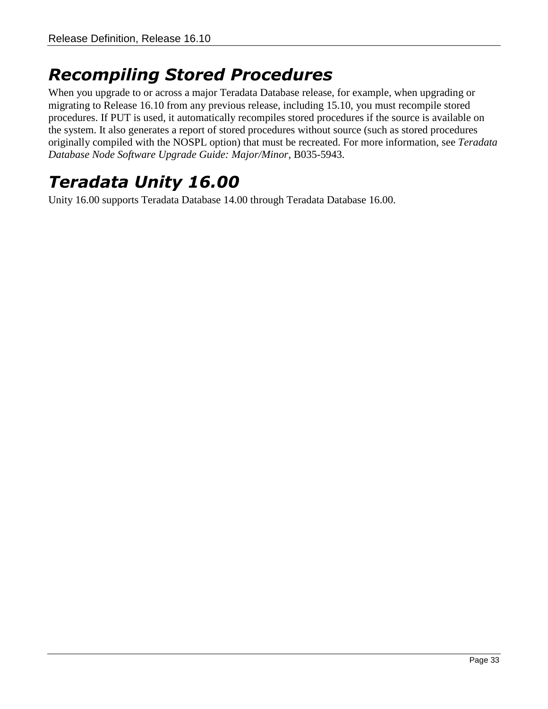### <span id="page-32-0"></span>*Recompiling Stored Procedures*

When you upgrade to or across a major Teradata Database release, for example, when upgrading or migrating to Release 16.10 from any previous release, including 15.10, you must recompile stored procedures. If PUT is used, it automatically recompiles stored procedures if the source is available on the system. It also generates a report of stored procedures without source (such as stored procedures originally compiled with the NOSPL option) that must be recreated. For more information, see *Teradata Database Node Software Upgrade Guide: Major/Minor*, B035-5943.

## <span id="page-32-1"></span>*Teradata Unity 16.00*

Unity 16.00 supports Teradata Database 14.00 through Teradata Database 16.00.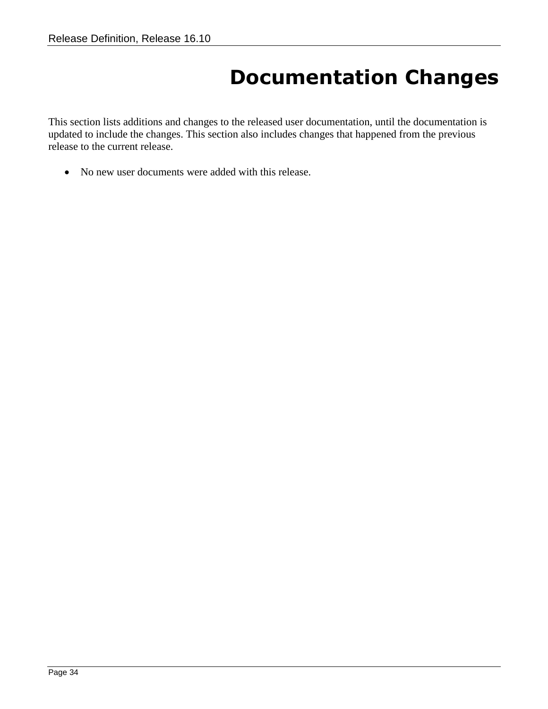# **Documentation Changes**

<span id="page-33-0"></span>This section lists additions and changes to the released user documentation, until the documentation is updated to include the changes. This section also includes changes that happened from the previous release to the current release.

No new user documents were added with this release.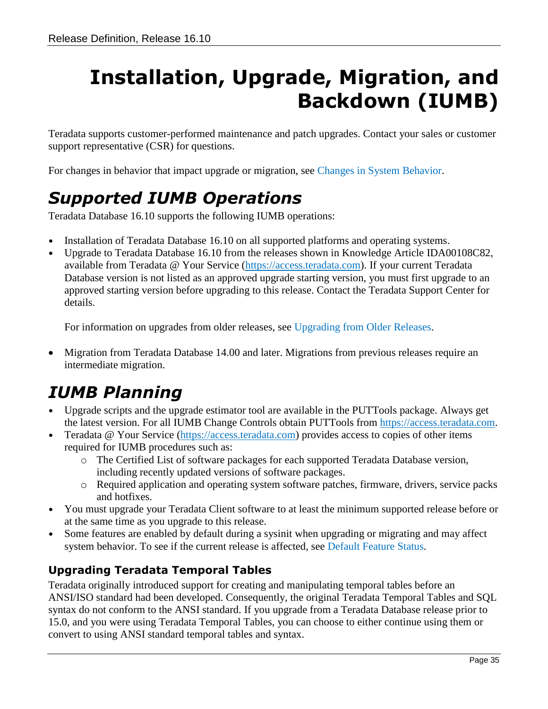# <span id="page-34-0"></span>**Installation, Upgrade, Migration, and Backdown (IUMB)**

Teradata supports customer-performed maintenance and patch upgrades. Contact your sales or customer support representative (CSR) for questions.

For changes in behavior that impact upgrade or migration, see [Changes in System Behavior.](#page-22-0)

# <span id="page-34-1"></span>*Supported IUMB Operations*

Teradata Database 16.10 supports the following IUMB operations:

- Installation of Teradata Database 16.10 on all supported platforms and operating systems.
- Upgrade to Teradata Database 16.10 from the releases shown in Knowledge Article IDA00108C82, available from Teradata @ Your Service [\(https://access.teradata.com\)](https://access.teradata.com/). If your current Teradata Database version is not listed as an approved upgrade starting version, you must first upgrade to an approved starting version before upgrading to this release. Contact the Teradata Support Center for details.

For information on upgrades from older releases, see [Upgrading from Older Releases.](#page-36-1)

 Migration from Teradata Database 14.00 and later. Migrations from previous releases require an intermediate migration.

# <span id="page-34-2"></span>*IUMB Planning*

- Upgrade scripts and the upgrade estimator tool are available in the PUTTools package. Always get the latest version. For all IUMB Change Controls obtain PUTTools from [https://access.teradata.com.](https://access.teradata.com/)
- Teradata @ Your Service [\(https://access.teradata.com\)](https://access.teradata.com/) provides access to copies of other items required for IUMB procedures such as:
	- o The Certified List of software packages for each supported Teradata Database version, including recently updated versions of software packages.
	- o Required application and operating system software patches, firmware, drivers, service packs and hotfixes.
- You must upgrade your Teradata Client software to at least the minimum supported release before or at the same time as you upgrade to this release.
- Some features are enabled by default during a sysinit when upgrading or migrating and may affect system behavior. To see if the current release is affected, see [Default Feature Status.](#page-22-1)

#### <span id="page-34-3"></span>**Upgrading Teradata Temporal Tables**

Teradata originally introduced support for creating and manipulating temporal tables before an ANSI/ISO standard had been developed. Consequently, the original Teradata Temporal Tables and SQL syntax do not conform to the ANSI standard. If you upgrade from a Teradata Database release prior to 15.0, and you were using Teradata Temporal Tables, you can choose to either continue using them or convert to using ANSI standard temporal tables and syntax.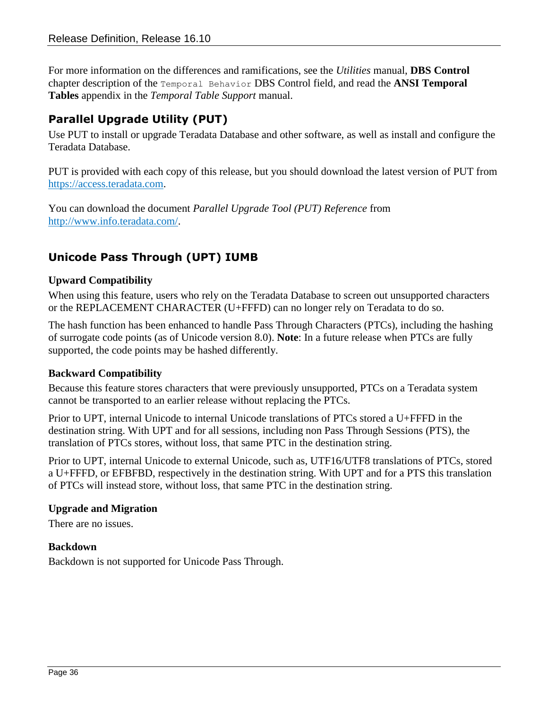For more information on the differences and ramifications, see the *Utilities* manual, **DBS Control** chapter description of the Temporal Behavior DBS Control field, and read the **ANSI Temporal Tables** appendix in the *Temporal Table Support* manual.

#### <span id="page-35-0"></span>**Parallel Upgrade Utility (PUT)**

Use PUT to install or upgrade Teradata Database and other software, as well as install and configure the Teradata Database.

PUT is provided with each copy of this release, but you should download the latest version of PUT from [https://access.teradata.com.](https://access.teradata.com/)

You can download the document *Parallel Upgrade Tool (PUT) Reference* from [http://www.info.teradata.com/.](http://www.info.teradata.com/)

#### <span id="page-35-1"></span>**Unicode Pass Through (UPT) IUMB**

#### **Upward Compatibility**

When using this feature, users who rely on the Teradata Database to screen out unsupported characters or the REPLACEMENT CHARACTER (U+FFFD) can no longer rely on Teradata to do so.

The hash function has been enhanced to handle Pass Through Characters (PTCs), including the hashing of surrogate code points (as of Unicode version 8.0). **Note**: In a future release when PTCs are fully supported, the code points may be hashed differently.

#### **Backward Compatibility**

Because this feature stores characters that were previously unsupported, PTCs on a Teradata system cannot be transported to an earlier release without replacing the PTCs.

Prior to UPT, internal Unicode to internal Unicode translations of PTCs stored a U+FFFD in the destination string. With UPT and for all sessions, including non Pass Through Sessions (PTS), the translation of PTCs stores, without loss, that same PTC in the destination string.

Prior to UPT, internal Unicode to external Unicode, such as, UTF16/UTF8 translations of PTCs, stored a U+FFFD, or EFBFBD, respectively in the destination string. With UPT and for a PTS this translation of PTCs will instead store, without loss, that same PTC in the destination string.

#### **Upgrade and Migration**

There are no issues.

#### **Backdown**

Backdown is not supported for Unicode Pass Through.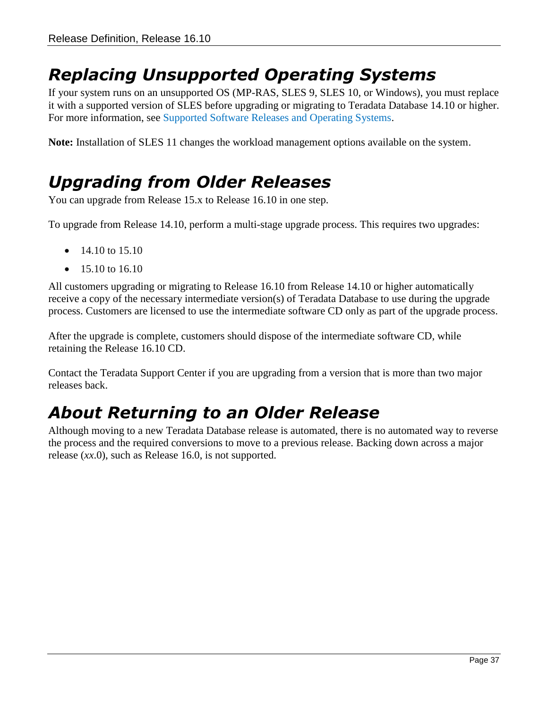## <span id="page-36-0"></span>*Replacing Unsupported Operating Systems*

If your system runs on an unsupported OS (MP-RAS, SLES 9, SLES 10, or Windows), you must replace it with a supported version of SLES before upgrading or migrating to Teradata Database 14.10 or higher. For more information, see [Supported Software Releases and Operating Systems.](#page-5-3)

**Note:** Installation of SLES 11 changes the workload management options available on the system.

#### <span id="page-36-1"></span>*Upgrading from Older Releases*

You can upgrade from Release 15.x to Release 16.10 in one step.

To upgrade from Release 14.10, perform a multi-stage upgrade process. This requires two upgrades:

- $\bullet$  14.10 to 15.10
- 15.10 to 16.10

All customers upgrading or migrating to Release 16.10 from Release 14.10 or higher automatically receive a copy of the necessary intermediate version(s) of Teradata Database to use during the upgrade process. Customers are licensed to use the intermediate software CD only as part of the upgrade process.

After the upgrade is complete, customers should dispose of the intermediate software CD, while retaining the Release 16.10 CD.

Contact the Teradata Support Center if you are upgrading from a version that is more than two major releases back.

### <span id="page-36-2"></span>*About Returning to an Older Release*

Although moving to a new Teradata Database release is automated, there is no automated way to reverse the process and the required conversions to move to a previous release. Backing down across a major release (*xx*.0), such as Release 16.0, is not supported.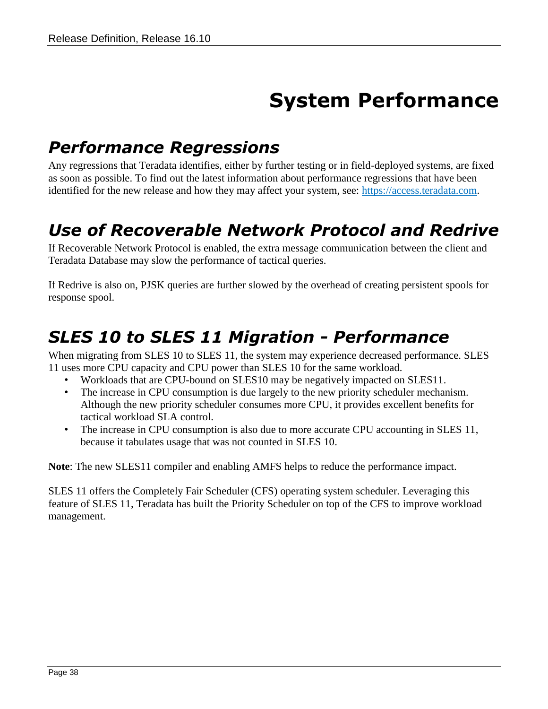# **System Performance**

### <span id="page-37-1"></span><span id="page-37-0"></span>*Performance Regressions*

Any regressions that Teradata identifies, either by further testing or in field-deployed systems, are fixed as soon as possible. To find out the latest information about performance regressions that have been identified for the new release and how they may affect your system, see: [https://access.teradata.com.](https://access.teradata.com/)

### <span id="page-37-2"></span>*Use of Recoverable Network Protocol and Redrive*

If Recoverable Network Protocol is enabled, the extra message communication between the client and Teradata Database may slow the performance of tactical queries.

If Redrive is also on, PJSK queries are further slowed by the overhead of creating persistent spools for response spool.

# <span id="page-37-3"></span>*SLES 10 to SLES 11 Migration - Performance*

When migrating from SLES 10 to SLES 11, the system may experience decreased performance. SLES 11 uses more CPU capacity and CPU power than SLES 10 for the same workload.

- Workloads that are CPU-bound on SLES10 may be negatively impacted on SLES11.
- The increase in CPU consumption is due largely to the new priority scheduler mechanism. Although the new priority scheduler consumes more CPU, it provides excellent benefits for tactical workload SLA control.
- The increase in CPU consumption is also due to more accurate CPU accounting in SLES 11, because it tabulates usage that was not counted in SLES 10.

**Note**: The new SLES11 compiler and enabling AMFS helps to reduce the performance impact.

SLES 11 offers the Completely Fair Scheduler (CFS) operating system scheduler. Leveraging this feature of SLES 11, Teradata has built the Priority Scheduler on top of the CFS to improve workload management.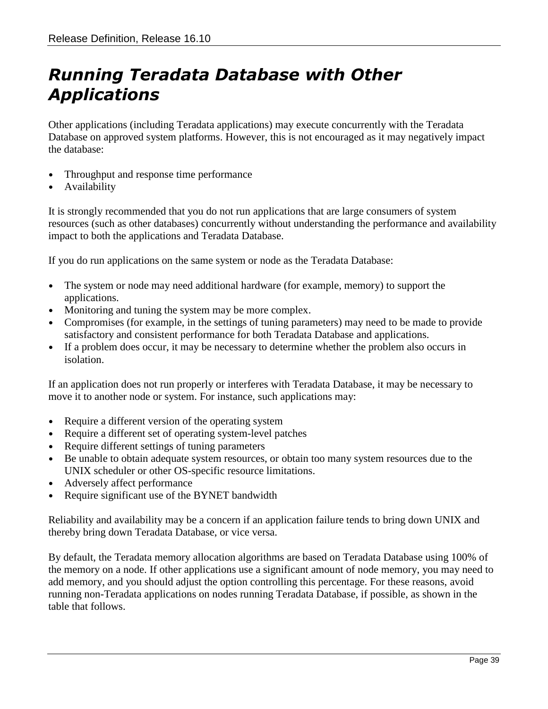## <span id="page-38-0"></span>*Running Teradata Database with Other Applications*

Other applications (including Teradata applications) may execute concurrently with the Teradata Database on approved system platforms. However, this is not encouraged as it may negatively impact the database:

- Throughput and response time performance
- **Availability**

It is strongly recommended that you do not run applications that are large consumers of system resources (such as other databases) concurrently without understanding the performance and availability impact to both the applications and Teradata Database.

If you do run applications on the same system or node as the Teradata Database:

- The system or node may need additional hardware (for example, memory) to support the applications.
- Monitoring and tuning the system may be more complex.
- Compromises (for example, in the settings of tuning parameters) may need to be made to provide satisfactory and consistent performance for both Teradata Database and applications.
- If a problem does occur, it may be necessary to determine whether the problem also occurs in isolation.

If an application does not run properly or interferes with Teradata Database, it may be necessary to move it to another node or system. For instance, such applications may:

- Require a different version of the operating system
- Require a different set of operating system-level patches
- Require different settings of tuning parameters
- Be unable to obtain adequate system resources, or obtain too many system resources due to the UNIX scheduler or other OS-specific resource limitations.
- Adversely affect performance
- Require significant use of the BYNET bandwidth

Reliability and availability may be a concern if an application failure tends to bring down UNIX and thereby bring down Teradata Database, or vice versa.

By default, the Teradata memory allocation algorithms are based on Teradata Database using 100% of the memory on a node. If other applications use a significant amount of node memory, you may need to add memory, and you should adjust the option controlling this percentage. For these reasons, avoid running non-Teradata applications on nodes running Teradata Database, if possible, as shown in the table that follows.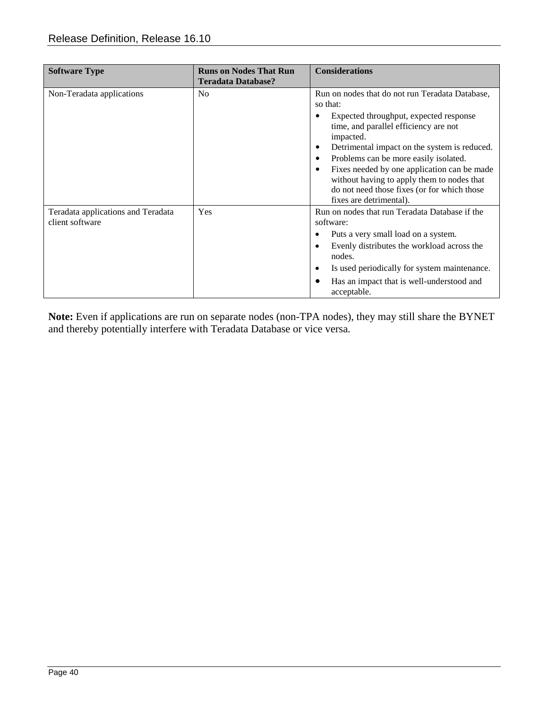| <b>Software Type</b>                                  | <b>Runs on Nodes That Run</b><br><b>Teradata Database?</b> | <b>Considerations</b>                                                                                                                                                                                                                                                                                                                                                                                                       |
|-------------------------------------------------------|------------------------------------------------------------|-----------------------------------------------------------------------------------------------------------------------------------------------------------------------------------------------------------------------------------------------------------------------------------------------------------------------------------------------------------------------------------------------------------------------------|
| Non-Teradata applications                             | No.                                                        | Run on nodes that do not run Teradata Database,<br>so that:<br>Expected throughput, expected response<br>time, and parallel efficiency are not<br>impacted.<br>Detrimental impact on the system is reduced.<br>Problems can be more easily isolated.<br>Fixes needed by one application can be made<br>without having to apply them to nodes that<br>do not need those fixes (or for which those<br>fixes are detrimental). |
| Teradata applications and Teradata<br>client software | Yes                                                        | Run on nodes that run Teradata Database if the<br>software:<br>Puts a very small load on a system.<br>Evenly distributes the workload across the<br>nodes.<br>Is used periodically for system maintenance.<br>Has an impact that is well-understood and<br>acceptable.                                                                                                                                                      |

**Note:** Even if applications are run on separate nodes (non-TPA nodes), they may still share the BYNET and thereby potentially interfere with Teradata Database or vice versa.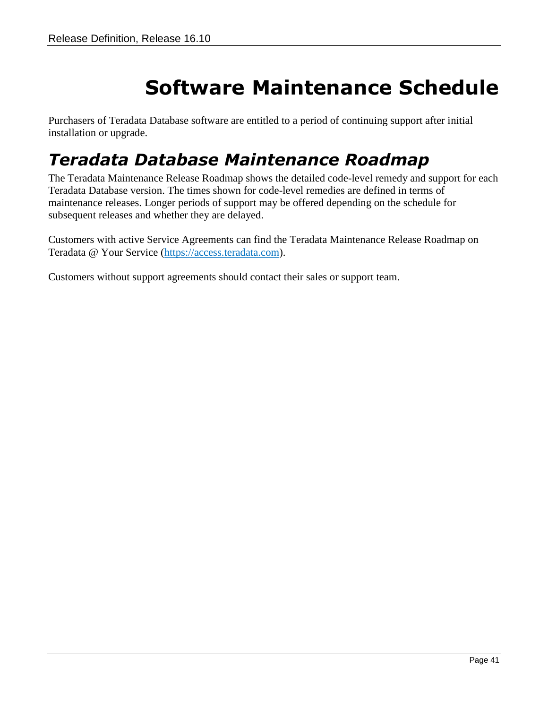# **Software Maintenance Schedule**

<span id="page-40-0"></span>Purchasers of Teradata Database software are entitled to a period of continuing support after initial installation or upgrade.

### <span id="page-40-1"></span>*Teradata Database Maintenance Roadmap*

The Teradata Maintenance Release Roadmap shows the detailed code-level remedy and support for each Teradata Database version. The times shown for code-level remedies are defined in terms of maintenance releases. Longer periods of support may be offered depending on the schedule for subsequent releases and whether they are delayed.

Customers with active Service Agreements can find the Teradata Maintenance Release Roadmap on Teradata @ Your Service [\(https://access.teradata.com\)](https://access.teradata.com/).

Customers without support agreements should contact their sales or support team.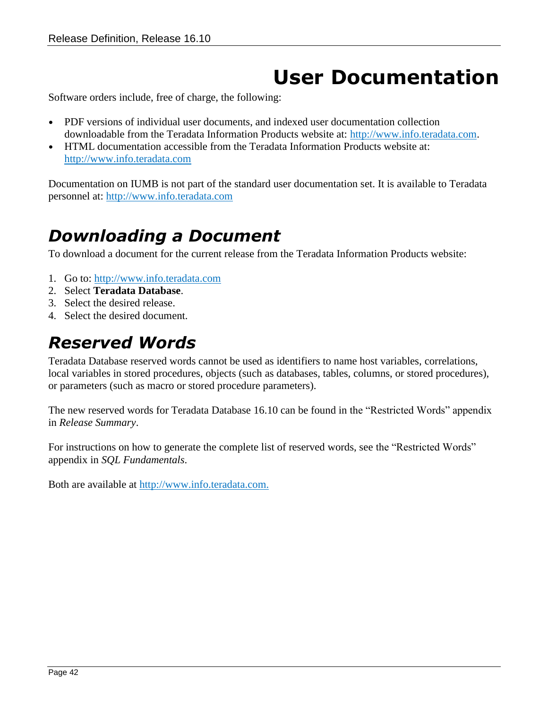# **User Documentation**

<span id="page-41-0"></span>Software orders include, free of charge, the following:

- PDF versions of individual user documents, and indexed user documentation collection downloadable from the Teradata Information Products website at: [http://www.info.teradata.com.](http://www.info.teradata.com/)
- HTML documentation accessible from the Teradata Information Products website at: [http://www.info.teradata.com](http://www.info.teradata.com/)

Documentation on IUMB is not part of the standard user documentation set. It is available to Teradata personnel at: [http://www.info.teradata.com](http://www.info.teradata.com/)

### <span id="page-41-1"></span>*Downloading a Document*

To download a document for the current release from the Teradata Information Products website:

- 1. Go to: [http://www.info.teradata.com](http://www.info.teradata.com/)
- 2. Select **Teradata Database**.
- 3. Select the desired release.
- 4. Select the desired document.

#### <span id="page-41-2"></span>*Reserved Words*

Teradata Database reserved words cannot be used as identifiers to name host variables, correlations, local variables in stored procedures, objects (such as databases, tables, columns, or stored procedures), or parameters (such as macro or stored procedure parameters).

The new reserved words for Teradata Database 16.10 can be found in the "Restricted Words" appendix in *Release Summary*.

For instructions on how to generate the complete list of reserved words, see the "Restricted Words" appendix in *SQL Fundamentals*.

Both are available at [http://www.info.teradata.com.](http://www.info.teradata.com/)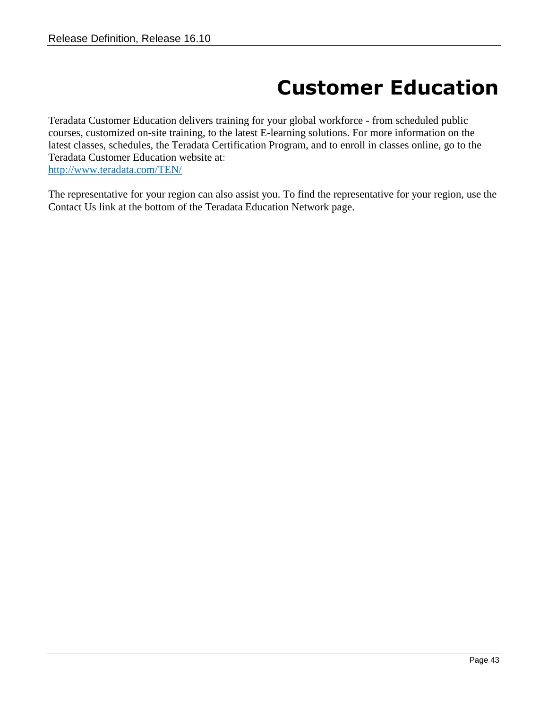# **Customer Education**

<span id="page-42-0"></span>Teradata Customer Education delivers training for your global workforce - from scheduled public courses, customized on-site training, to the latest E-learning solutions. For more information on the latest classes, schedules, the Teradata Certification Program, and to enroll in classes online, go to the Teradata Customer Education website at: <http://www.teradata.com/TEN/>

The representative for your region can also assist you. To find the representative for your region, use the Contact Us link at the bottom of the Teradata Education Network page.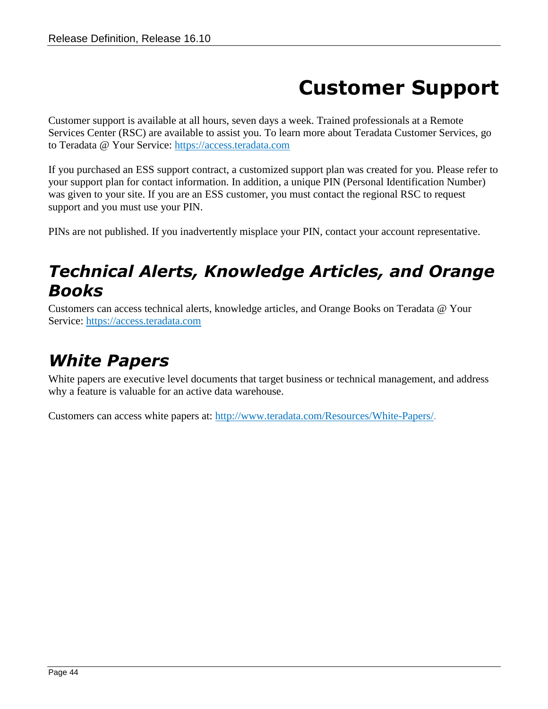# **Customer Support**

<span id="page-43-0"></span>Customer support is available at all hours, seven days a week. Trained professionals at a Remote Services Center (RSC) are available to assist you. To learn more about Teradata Customer Services, go to Teradata @ Your Service: [https://access.teradata.com](https://access.teradata.com/)

If you purchased an ESS support contract, a customized support plan was created for you. Please refer to your support plan for contact information. In addition, a unique PIN (Personal Identification Number) was given to your site. If you are an ESS customer, you must contact the regional RSC to request support and you must use your PIN.

PINs are not published. If you inadvertently misplace your PIN, contact your account representative.

### <span id="page-43-1"></span>*Technical Alerts, Knowledge Articles, and Orange Books*

Customers can access technical alerts, knowledge articles, and Orange Books on Teradata @ Your Service: [https://access.teradata.com](https://access.teradata.com/)

## <span id="page-43-2"></span>*White Papers*

White papers are executive level documents that target business or technical management, and address why a feature is valuable for an active data warehouse.

Customers can access white papers at: [http://www.teradata.com/Resources/White-Papers/.](http://www.teradata.com/Resources/White-Papers/)